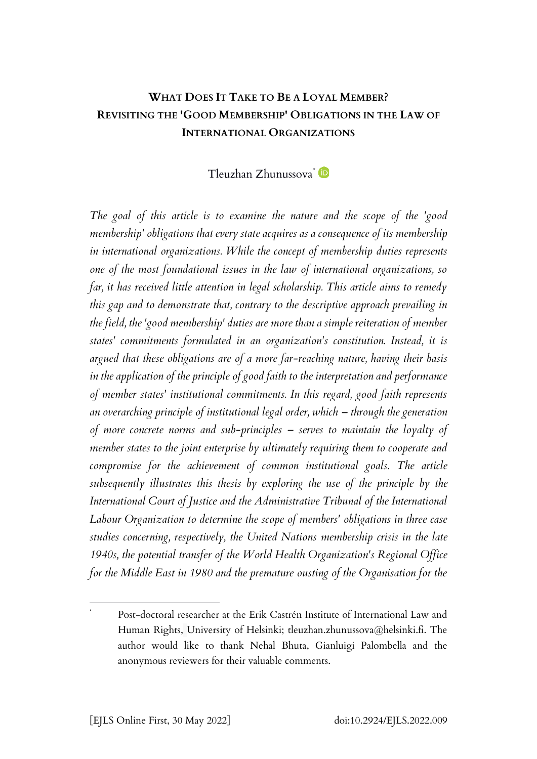# **WHAT DOES IT TAKE TO BE A LOYAL MEMBER? REVISITING THE 'GOOD MEMBERSHIP' OBLIGATIONS IN THE LAW OF INTERNATIONAL ORGANIZATIONS**

Tleuzhan Zhunussova\*

*The goal of this article is to examine the nature and the scope of the 'good membership' obligations that every state acquires as a consequence of its membership in international organizations. While the concept of membership duties represents one of the most foundational issues in the law of international organizations, so far, it has received little attention in legal scholarship. This article aims to remedy this gap and to demonstrate that, contrary to the descriptive approach prevailing in the field, the 'good membership' duties are more than a simple reiteration of member states' commitments formulated in an organization's constitution. Instead, it is argued that these obligations are of a more far-reaching nature, having their basis in the application of the principle of good faith to the interpretation and performance of member states' institutional commitments. In this regard, good faith represents an overarching principle of institutional legal order, which – through the generation of more concrete norms and sub-principles – serves to maintain the loyalty of member states to the joint enterprise by ultimately requiring them to cooperate and compromise for the achievement of common institutional goals. The article subsequently illustrates this thesis by exploring the use of the principle by the International Court of Justice and the Administrative Tribunal of the International Labour Organization to determine the scope of members' obligations in three case studies concerning, respectively, the United Nations membership crisis in the late 1940s, the potential transfer of the World Health Organization's Regional Office for the Middle East in 1980 and the premature ousting of the Organisation for the* 

Post-doctoral researcher at the Erik Castrén Institute of International Law and Human Rights, University of Helsinki; tleuzhan.zhunussova@helsinki.fi. The author would like to thank Nehal Bhuta, Gianluigi Palombella and the anonymous reviewers for their valuable comments.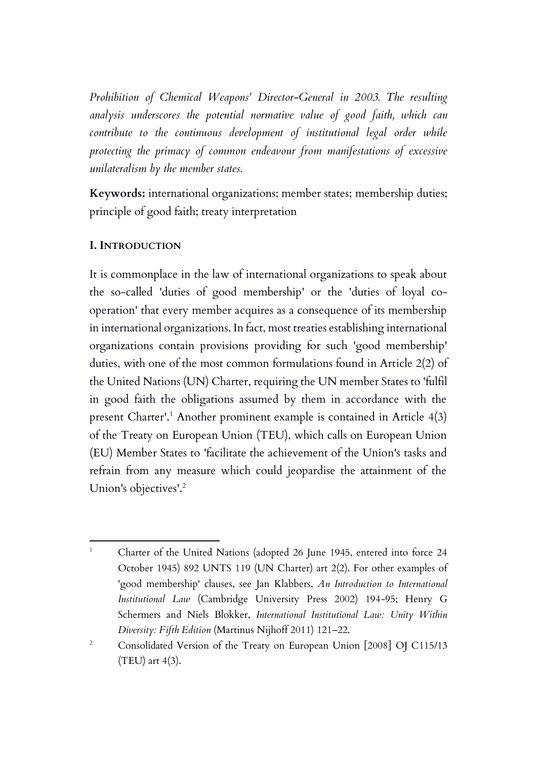*Prohibition of Chemical Weapons' Director-General in 2003. The resulting analysis underscores the potential normative value of good faith, which can contribute to the continuous development of institutional legal order while protecting the primacy of common endeavour from manifestations of excessive unilateralism by the member states.*

**Keywords:** international organizations; member states; membership duties; principle of good faith; treaty interpretation

#### **I. INTRODUCTION**

It is commonplace in the law of international organizations to speak about the so-called 'duties of good membership' or the 'duties of loyal cooperation' that every member acquires as a consequence of its membership in international organizations. In fact, most treaties establishing international organizations contain provisions providing for such 'good membership' duties, with one of the most common formulations found in Article 2(2) of the United Nations (UN) Charter, requiring the UN member States to 'fulfil in good faith the obligations assumed by them in accordance with the present Charter'. <sup>1</sup> Another prominent example is contained in Article 4(3) of the Treaty on European Union (TEU), which calls on European Union (EU) Member States to 'facilitate the achievement of the Union's tasks and refrain from any measure which could jeopardise the attainment of the Union's objectives'. 2

<sup>2</sup> Consolidated Version of the Treaty on European Union [2008] OJ C115/13 (TEU) art 4(3).

<sup>&</sup>lt;sup>1</sup> Charter of the United Nations (adopted 26 June 1945, entered into force 24 October 1945) 892 UNTS 119 (UN Charter) art 2(2). For other examples of 'good membership' clauses, see Jan Klabbers, *An Introduction to International Institutional Law* (Cambridge University Press 2002) 194-95; Henry G Schermers and Niels Blokker, *International Institutional Law: Unity Within Diversity: Fifth Edition* (Martinus Nijhoff 2011) 121–22.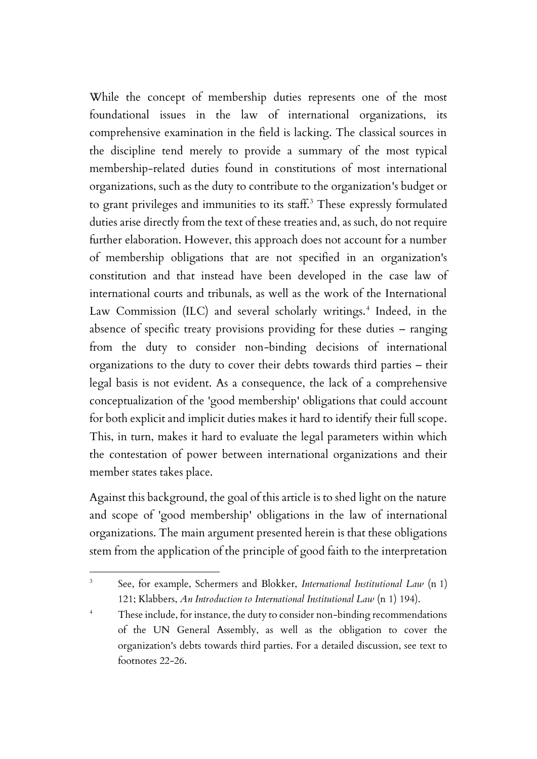While the concept of membership duties represents one of the most foundational issues in the law of international organizations, its comprehensive examination in the field is lacking. The classical sources in the discipline tend merely to provide a summary of the most typical membership-related duties found in constitutions of most international organizations, such as the duty to contribute to the organization's budget or to grant privileges and immunities to its staff.<sup>3</sup> These expressly formulated duties arise directly from the text of these treaties and, as such, do not require further elaboration. However, this approach does not account for a number of membership obligations that are not specified in an organization's constitution and that instead have been developed in the case law of international courts and tribunals, as well as the work of the International Law Commission (ILC) and several scholarly writings.<sup>4</sup> Indeed, in the absence of specific treaty provisions providing for these duties – ranging from the duty to consider non-binding decisions of international organizations to the duty to cover their debts towards third parties – their legal basis is not evident. As a consequence, the lack of a comprehensive conceptualization of the 'good membership' obligations that could account for both explicit and implicit duties makes it hard to identify their full scope. This, in turn, makes it hard to evaluate the legal parameters within which the contestation of power between international organizations and their member states takes place.

Against this background, the goal of this article is to shed light on the nature and scope of 'good membership' obligations in the law of international organizations. The main argument presented herein is that these obligations stem from the application of the principle of good faith to the interpretation

<sup>3</sup> See, for example, Schermers and Blokker, *International Institutional Law* (n 1) 121; Klabbers, *An Introduction to International Institutional Law* (n 1) 194).

These include, for instance, the duty to consider non-binding recommendations of the UN General Assembly, as well as the obligation to cover the organization's debts towards third parties. For a detailed discussion, see text to footnotes 22-26.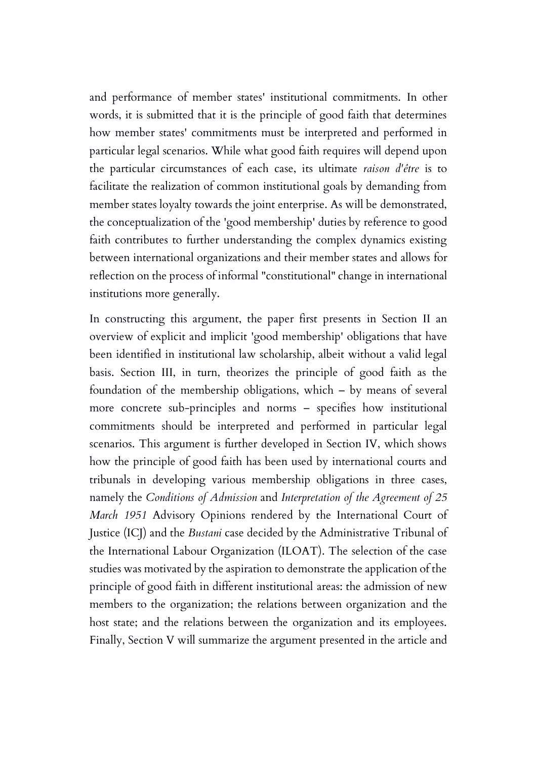and performance of member states' institutional commitments. In other words, it is submitted that it is the principle of good faith that determines how member states' commitments must be interpreted and performed in particular legal scenarios. While what good faith requires will depend upon the particular circumstances of each case, its ultimate *raison d'être* is to facilitate the realization of common institutional goals by demanding from member states loyalty towards the joint enterprise. As will be demonstrated, the conceptualization of the 'good membership' duties by reference to good faith contributes to further understanding the complex dynamics existing between international organizations and their member states and allows for reflection on the process of informal "constitutional" change in international institutions more generally.

In constructing this argument, the paper first presents in Section II an overview of explicit and implicit 'good membership' obligations that have been identified in institutional law scholarship, albeit without a valid legal basis. Section III, in turn, theorizes the principle of good faith as the foundation of the membership obligations, which – by means of several more concrete sub-principles and norms – specifies how institutional commitments should be interpreted and performed in particular legal scenarios. This argument is further developed in Section IV, which shows how the principle of good faith has been used by international courts and tribunals in developing various membership obligations in three cases, namely the *Conditions of Admission* and *Interpretation of the Agreement of 25 March 1951* Advisory Opinions rendered by the International Court of Justice (ICJ) and the *Bustani* case decided by the Administrative Tribunal of the International Labour Organization (ILOAT). The selection of the case studies was motivated by the aspiration to demonstrate the application of the principle of good faith in different institutional areas: the admission of new members to the organization; the relations between organization and the host state; and the relations between the organization and its employees. Finally, Section V will summarize the argument presented in the article and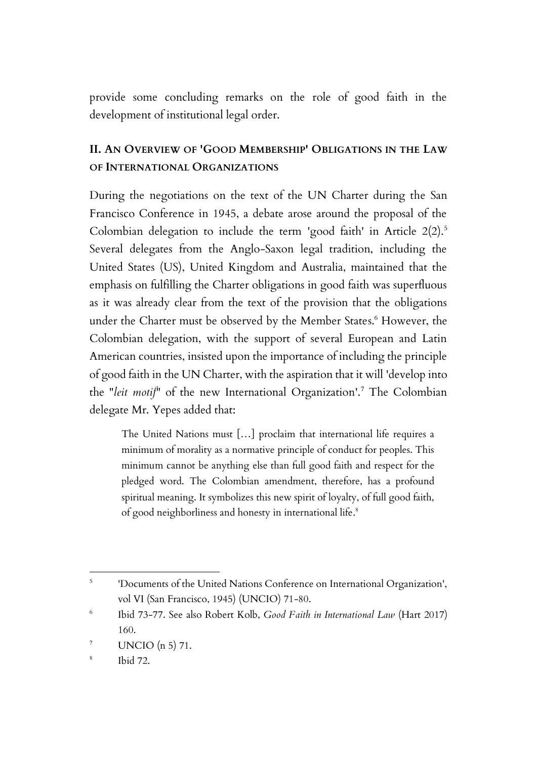provide some concluding remarks on the role of good faith in the development of institutional legal order.

### **II. AN OVERVIEW OF 'GOOD MEMBERSHIP' OBLIGATIONS IN THE LAW OF INTERNATIONAL ORGANIZATIONS**

During the negotiations on the text of the UN Charter during the San Francisco Conference in 1945, a debate arose around the proposal of the Colombian delegation to include the term 'good faith' in Article 2(2).<sup>5</sup> Several delegates from the Anglo-Saxon legal tradition, including the United States (US), United Kingdom and Australia, maintained that the emphasis on fulfilling the Charter obligations in good faith was superfluous as it was already clear from the text of the provision that the obligations under the Charter must be observed by the Member States.<sup>6</sup> However, the Colombian delegation, with the support of several European and Latin American countries, insisted upon the importance of including the principle of good faith in the UN Charter, with the aspiration that it will 'develop into the "*leit motif*" of the new International Organization'. <sup>7</sup> The Colombian delegate Mr. Yepes added that:

The United Nations must […] proclaim that international life requires a minimum of morality as a normative principle of conduct for peoples. This minimum cannot be anything else than full good faith and respect for the pledged word. The Colombian amendment, therefore, has a profound spiritual meaning. It symbolizes this new spirit of loyalty, of full good faith, of good neighborliness and honesty in international life. 8

<sup>5</sup> 'Documents of the United Nations Conference on International Organization', vol VI (San Francisco, 1945) (UNCIO) 71-80.

<sup>6</sup> Ibid 73-77. See also Robert Kolb, *Good Faith in International Law* (Hart 2017) 160.

 $^7$  UNCIO (n 5) 71.

<sup>8</sup> Ibid 72.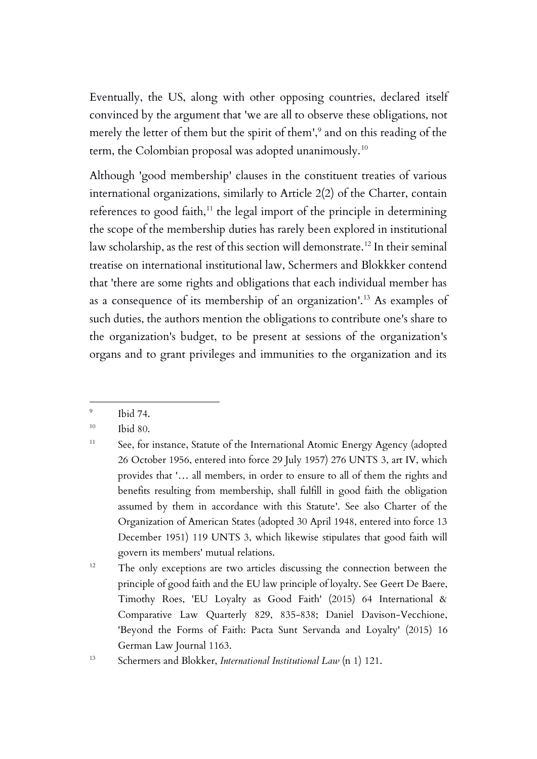Eventually, the US, along with other opposing countries, declared itself convinced by the argument that 'we are all to observe these obligations, not merely the letter of them but the spirit of them', 9 and on this reading of the term, the Colombian proposal was adopted unanimously.<sup>10</sup>

Although 'good membership' clauses in the constituent treaties of various international organizations, similarly to Article 2(2) of the Charter, contain references to good faith,<sup>11</sup> the legal import of the principle in determining the scope of the membership duties has rarely been explored in institutional law scholarship, as the rest of this section will demonstrate.<sup>12</sup> In their seminal treatise on international institutional law, Schermers and Blokkker contend that 'there are some rights and obligations that each individual member has as a consequence of its membership of an organization'. <sup>13</sup> As examples of such duties, the authors mention the obligations to contribute one's share to the organization's budget, to be present at sessions of the organization's organs and to grant privileges and immunities to the organization and its

<sup>9</sup> Ibid 74.

<sup>&</sup>lt;sup>10</sup> Ibid 80.

<sup>&</sup>lt;sup>11</sup> See, for instance, Statute of the International Atomic Energy Agency (adopted 26 October 1956, entered into force 29 July 1957) 276 UNTS 3, art IV, which provides that '… all members, in order to ensure to all of them the rights and benefits resulting from membership, shall fulfill in good faith the obligation assumed by them in accordance with this Statute'. See also Charter of the Organization of American States (adopted 30 April 1948, entered into force 13 December 1951) 119 UNTS 3, which likewise stipulates that good faith will govern its members' mutual relations.

<sup>&</sup>lt;sup>12</sup> The only exceptions are two articles discussing the connection between the principle of good faith and the EU law principle of loyalty. See Geert De Baere, Timothy Roes, 'EU Loyalty as Good Faith' (2015) 64 International & Comparative Law Quarterly 829, 835-838; Daniel Davison-Vecchione, 'Beyond the Forms of Faith: Pacta Sunt Servanda and Loyalty' (2015) 16 German Law Journal 1163.

<sup>13</sup> Schermers and Blokker, *International Institutional Law* (n 1) 121.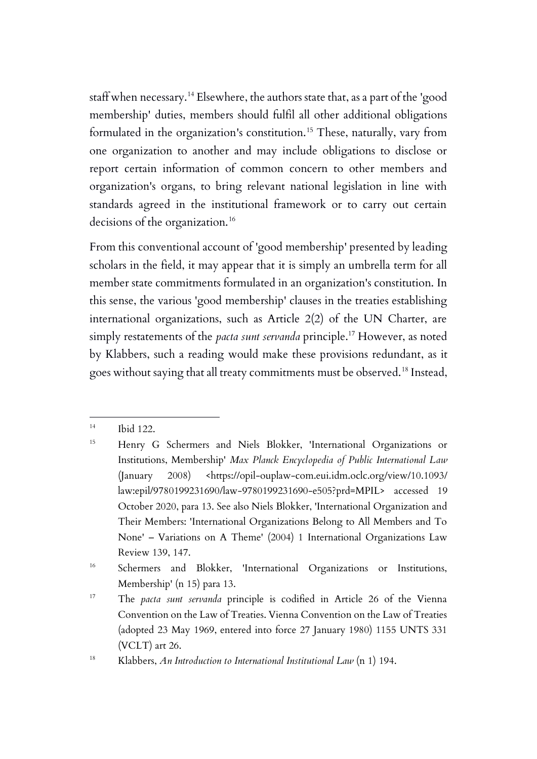staff when necessary.<sup>14</sup> Elsewhere, the authors state that, as a part of the 'good membership' duties, members should fulfil all other additional obligations formulated in the organization's constitution.<sup>15</sup> These, naturally, vary from one organization to another and may include obligations to disclose or report certain information of common concern to other members and organization's organs, to bring relevant national legislation in line with standards agreed in the institutional framework or to carry out certain decisions of the organization.<sup>16</sup>

From this conventional account of 'good membership' presented by leading scholars in the field, it may appear that it is simply an umbrella term for all member state commitments formulated in an organization's constitution. In this sense, the various 'good membership' clauses in the treaties establishing international organizations, such as Article 2(2) of the UN Charter, are simply restatements of the *pacta sunt servanda* principle.<sup>17</sup> However, as noted by Klabbers, such a reading would make these provisions redundant, as it goes without saying that all treaty commitments must be observed.<sup>18</sup> Instead,

<sup>14</sup> Ibid 122.

<sup>15</sup> Henry G Schermers and Niels Blokker, 'International Organizations or Institutions, Membership' *Max Planck Encyclopedia of Public International Law*  (January 2008) <https://opil-ouplaw-com.eui.idm.oclc.org/view/10.1093/ law:epil/9780199231690/law-9780199231690-e505?prd=MPIL> accessed 19 October 2020, para 13. See also Niels Blokker, 'International Organization and Their Members: 'International Organizations Belong to All Members and To None' – Variations on A Theme' (2004) 1 International Organizations Law Review 139, 147.

<sup>&</sup>lt;sup>16</sup> Schermers and Blokker, 'International Organizations or Institutions, Membership' (n 15) para 13.

<sup>17</sup> The *pacta sunt servanda* principle is codified in Article 26 of the Vienna Convention on the Law of Treaties. Vienna Convention on the Law of Treaties (adopted 23 May 1969, entered into force 27 January 1980) 1155 UNTS 331 (VCLT) art 26.

<sup>18</sup> Klabbers, *An Introduction to International Institutional Law* (n 1) 194.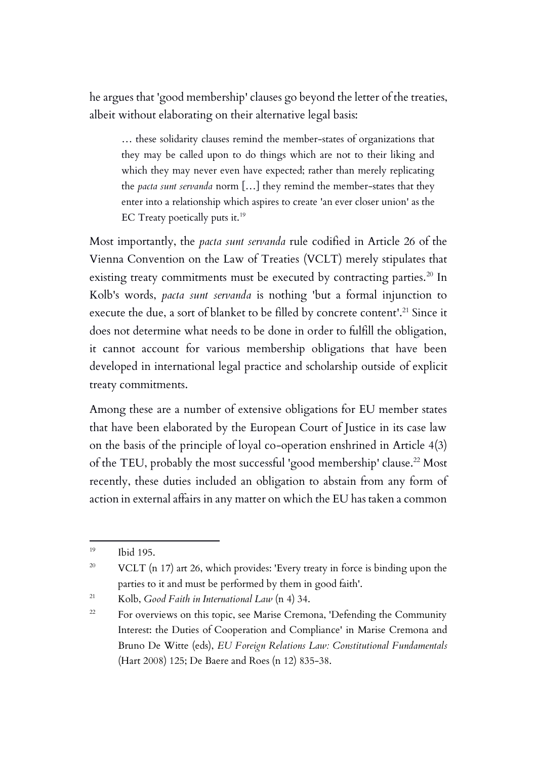he argues that 'good membership' clauses go beyond the letter of the treaties, albeit without elaborating on their alternative legal basis:

… these solidarity clauses remind the member-states of organizations that they may be called upon to do things which are not to their liking and which they may never even have expected; rather than merely replicating the *pacta sunt servanda* norm […] they remind the member-states that they enter into a relationship which aspires to create 'an ever closer union' as the EC Treaty poetically puts it.<sup>19</sup>

Most importantly, the *pacta sunt servanda* rule codified in Article 26 of the Vienna Convention on the Law of Treaties (VCLT) merely stipulates that existing treaty commitments must be executed by contracting parties.<sup>20</sup> In Kolb's words, *pacta sunt servanda* is nothing 'but a formal injunction to execute the due, a sort of blanket to be filled by concrete content'.<sup>21</sup> Since it does not determine what needs to be done in order to fulfill the obligation, it cannot account for various membership obligations that have been developed in international legal practice and scholarship outside of explicit treaty commitments.

Among these are a number of extensive obligations for EU member states that have been elaborated by the European Court of Justice in its case law on the basis of the principle of loyal co-operation enshrined in Article 4(3) of the TEU, probably the most successful 'good membership' clause.<sup>22</sup> Most recently, these duties included an obligation to abstain from any form of action in external affairs in any matter on which the EU has taken a common

 $^{19}$  Ibid 195.

<sup>&</sup>lt;sup>20</sup> VCLT (n 17) art 26, which provides: 'Every treaty in force is binding upon the parties to it and must be performed by them in good faith'.

<sup>21</sup> Kolb, *Good Faith in International Law* (n 4) 34.

<sup>&</sup>lt;sup>22</sup> For overviews on this topic, see Marise Cremona, 'Defending the Community Interest: the Duties of Cooperation and Compliance' in Marise Cremona and Bruno De Witte (eds), *EU Foreign Relations Law: Constitutional Fundamentals* (Hart 2008) 125; De Baere and Roes (n 12) 835-38.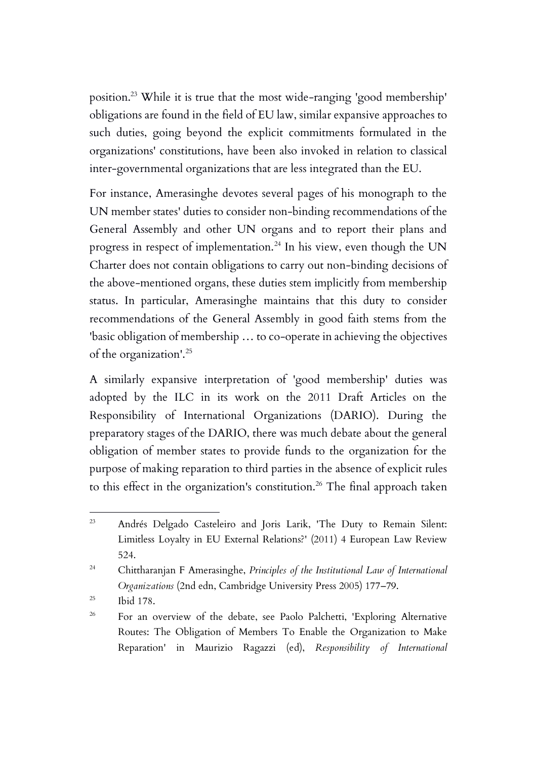position. <sup>23</sup> While it is true that the most wide-ranging 'good membership' obligations are found in the field of EU law, similar expansive approaches to such duties, going beyond the explicit commitments formulated in the organizations' constitutions, have been also invoked in relation to classical inter-governmental organizations that are less integrated than the EU.

For instance, Amerasinghe devotes several pages of his monograph to the UN member states' duties to consider non-binding recommendations of the General Assembly and other UN organs and to report their plans and progress in respect of implementation.<sup>24</sup> In his view, even though the UN Charter does not contain obligations to carry out non-binding decisions of the above-mentioned organs, these duties stem implicitly from membership status. In particular, Amerasinghe maintains that this duty to consider recommendations of the General Assembly in good faith stems from the 'basic obligation of membership … to co-operate in achieving the objectives of the organization'. 25

A similarly expansive interpretation of 'good membership' duties was adopted by the ILC in its work on the 2011 Draft Articles on the Responsibility of International Organizations (DARIO). During the preparatory stages of the DARIO, there was much debate about the general obligation of member states to provide funds to the organization for the purpose of making reparation to third parties in the absence of explicit rules to this effect in the organization's constitution.<sup>26</sup> The final approach taken

 $^{25}$  Ibid 178.

<sup>23</sup> Andrés Delgado Casteleiro and Joris Larik, 'The Duty to Remain Silent: Limitless Loyalty in EU External Relations?' (2011) 4 European Law Review 524.

<sup>24</sup> Chittharanjan F Amerasinghe, *Principles of the Institutional Law of International Organizations* (2nd edn, Cambridge University Press 2005) 177–79.

<sup>&</sup>lt;sup>26</sup> For an overview of the debate, see Paolo Palchetti, 'Exploring Alternative Routes: The Obligation of Members To Enable the Organization to Make Reparation' in Maurizio Ragazzi (ed), *Responsibility of International*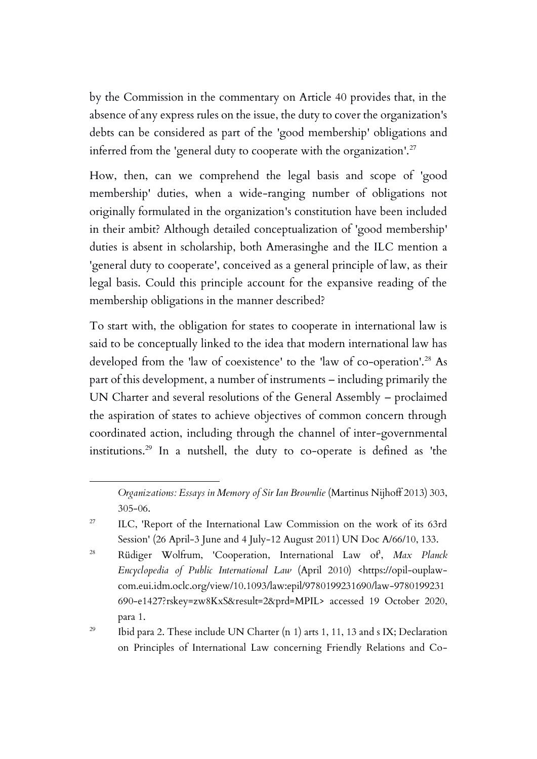by the Commission in the commentary on Article 40 provides that, in the absence of any express rules on the issue, the duty to cover the organization's debts can be considered as part of the 'good membership' obligations and inferred from the 'general duty to cooperate with the organization'. 27

How, then, can we comprehend the legal basis and scope of 'good membership' duties, when a wide-ranging number of obligations not originally formulated in the organization's constitution have been included in their ambit? Although detailed conceptualization of 'good membership' duties is absent in scholarship, both Amerasinghe and the ILC mention a 'general duty to cooperate', conceived as a general principle of law, as their legal basis. Could this principle account for the expansive reading of the membership obligations in the manner described?

To start with, the obligation for states to cooperate in international law is said to be conceptually linked to the idea that modern international law has developed from the 'law of coexistence' to the 'law of co-operation'. <sup>28</sup> As part of this development, a number of instruments – including primarily the UN Charter and several resolutions of the General Assembly – proclaimed the aspiration of states to achieve objectives of common concern through coordinated action, including through the channel of inter-governmental institutions.<sup>29</sup> In a nutshell, the duty to co-operate is defined as 'the

<sup>27</sup> ILC, 'Report of the International Law Commission on the work of its 63rd Session' (26 April-3 June and 4 July-12 August 2011) UN Doc A/66/10, 133.

<sup>28</sup> Rüdiger Wolfrum, 'Cooperation, International Law of', *Max Planck Encyclopedia of Public International Law* (April 2010) <https://opil-ouplawcom.eui.idm.oclc.org/view/10.1093/law:epil/9780199231690/law-9780199231 690-e1427?rskey=zw8KxS&result=2&prd=MPIL> accessed 19 October 2020, para 1.

<sup>29</sup> Ibid para 2. These include UN Charter (n 1) arts 1, 11, 13 and s IX; Declaration on Principles of International Law concerning Friendly Relations and Co-

*Organizations: Essays in Memory of Sir Ian Brownlie* (Martinus Nijhoff 2013) 303, 305-06.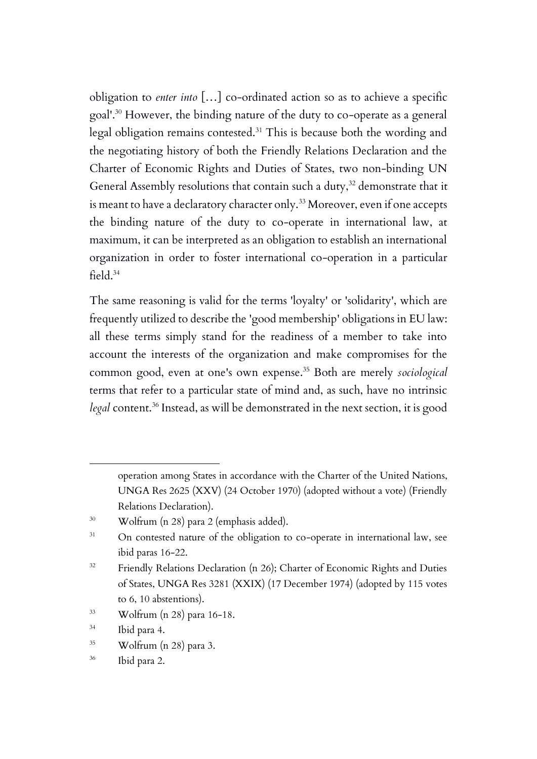obligation to *enter into* […] co-ordinated action so as to achieve a specific goal'. <sup>30</sup> However, the binding nature of the duty to co-operate as a general legal obligation remains contested.<sup>31</sup> This is because both the wording and the negotiating history of both the Friendly Relations Declaration and the Charter of Economic Rights and Duties of States, two non-binding UN General Assembly resolutions that contain such a duty, <sup>32</sup> demonstrate that it is meant to have a declaratory character only.<sup>33</sup> Moreover, even if one accepts the binding nature of the duty to co-operate in international law, at maximum, it can be interpreted as an obligation to establish an international organization in order to foster international co-operation in a particular field.<sup>34</sup>

The same reasoning is valid for the terms 'loyalty' or 'solidarity', which are frequently utilized to describe the 'good membership' obligations in EU law: all these terms simply stand for the readiness of a member to take into account the interests of the organization and make compromises for the common good, even at one's own expense.<sup>35</sup> Both are merely *sociological* terms that refer to a particular state of mind and, as such, have no intrinsic *legal* content.<sup>36</sup> Instead, as will be demonstrated in the next section, it is good

<sup>33</sup> Wolfrum (n 28) para 16-18.

operation among States in accordance with the Charter of the United Nations, UNGA Res 2625 (XXV) (24 October 1970) (adopted without a vote) (Friendly Relations Declaration).

<sup>30</sup> Wolfrum (n 28) para 2 (emphasis added).

<sup>&</sup>lt;sup>31</sup> On contested nature of the obligation to co-operate in international law, see ibid paras 16-22.

<sup>&</sup>lt;sup>32</sup> Friendly Relations Declaration (n 26); Charter of Economic Rights and Duties of States, UNGA Res 3281 (XXIX) (17 December 1974) (adopted by 115 votes to 6, 10 abstentions).

<sup>34</sup> Ibid para 4.

 $35$  Wolfrum (n 28) para 3.

<sup>36</sup> Ibid para 2.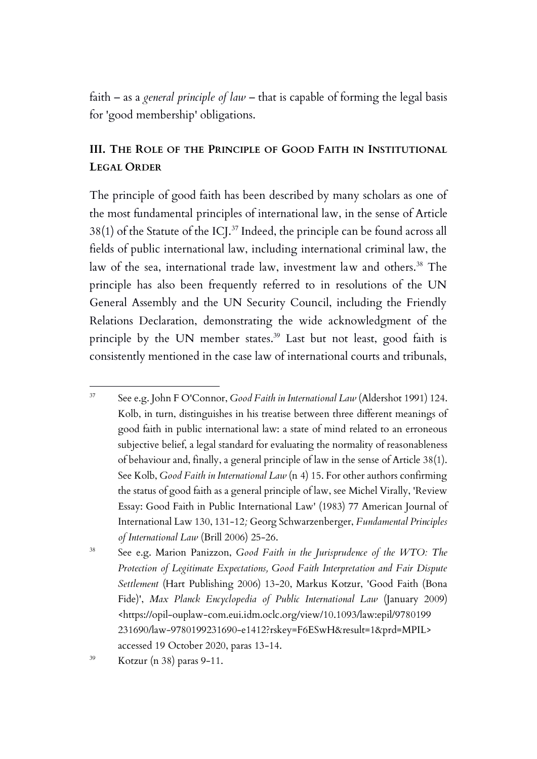faith – as a *general principle of law* – that is capable of forming the legal basis for 'good membership' obligations.

### **III. THE ROLE OF THE PRINCIPLE OF GOOD FAITH IN INSTITUTIONAL LEGAL ORDER**

The principle of good faith has been described by many scholars as one of the most fundamental principles of international law, in the sense of Article  $38(1)$  of the Statute of the ICJ.<sup>37</sup> Indeed, the principle can be found across all fields of public international law, including international criminal law, the law of the sea, international trade law, investment law and others.<sup>38</sup> The principle has also been frequently referred to in resolutions of the UN General Assembly and the UN Security Council, including the Friendly Relations Declaration, demonstrating the wide acknowledgment of the principle by the UN member states.<sup>39</sup> Last but not least, good faith is consistently mentioned in the case law of international courts and tribunals,

<sup>37</sup> See e.g. John F O'Connor, *Good Faith in International Law* (Aldershot 1991) 124. Kolb, in turn, distinguishes in his treatise between three different meanings of good faith in public international law: a state of mind related to an erroneous subjective belief, a legal standard for evaluating the normality of reasonableness of behaviour and, finally, a general principle of law in the sense of Article 38(1). See Kolb, *Good Faith in International Law* (n 4) 15. For other authors confirming the status of good faith as a general principle of law, see Michel Virally, 'Review Essay: Good Faith in Public International Law' (1983) 77 American Journal of International Law 130, 131-12*;* Georg Schwarzenberger, *Fundamental Principles of International Law* (Brill 2006) 25-26.

<sup>38</sup> See e.g. Marion Panizzon, *Good Faith in the Jurisprudence of the WTO: The Protection of Legitimate Expectations, Good Faith Interpretation and Fair Dispute Settlement* (Hart Publishing 2006) 13-20, Markus Kotzur, 'Good Faith (Bona Fide)', *Max Planck Encyclopedia of Public International Law* (January 2009) <https://opil-ouplaw-com.eui.idm.oclc.org/view/10.1093/law:epil/9780199 231690/law-9780199231690-e1412?rskey=F6ESwH&result=1&prd=MPIL> accessed 19 October 2020, paras 13-14.

<sup>39</sup> Kotzur (n 38) paras 9-11.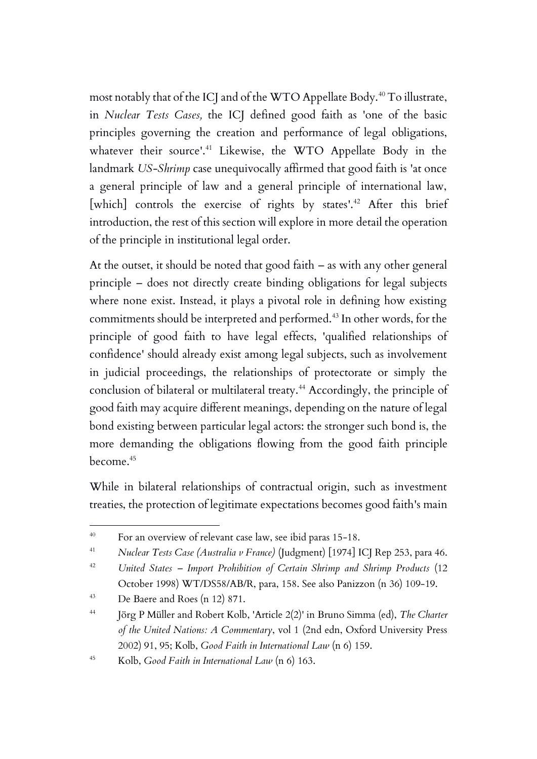most notably that of the ICJ and of the WTO Appellate Body.<sup>40</sup> To illustrate, in *Nuclear Tests Cases,* the ICJ defined good faith as 'one of the basic principles governing the creation and performance of legal obligations, whatever their source'. <sup>41</sup> Likewise, the WTO Appellate Body in the landmark *US-Shrimp* case unequivocally affirmed that good faith is 'at once a general principle of law and a general principle of international law, [which] controls the exercise of rights by states'.<sup>42</sup> After this brief introduction, the rest of this section will explore in more detail the operation of the principle in institutional legal order.

At the outset, it should be noted that good faith – as with any other general principle – does not directly create binding obligations for legal subjects where none exist. Instead, it plays a pivotal role in defining how existing commitments should be interpreted and performed.<sup>43</sup> In other words, for the principle of good faith to have legal effects, 'qualified relationships of confidence' should already exist among legal subjects, such as involvement in judicial proceedings, the relationships of protectorate or simply the conclusion of bilateral or multilateral treaty.<sup>44</sup> Accordingly, the principle of good faith may acquire different meanings, depending on the nature of legal bond existing between particular legal actors: the stronger such bond is, the more demanding the obligations flowing from the good faith principle  $h$ ecome<sup>45</sup>

While in bilateral relationships of contractual origin, such as investment treaties, the protection of legitimate expectations becomes good faith's main

<sup>&</sup>lt;sup>40</sup> For an overview of relevant case law, see ibid paras 15-18.

<sup>41</sup> *Nuclear Tests Case (Australia v France)* (Judgment) [1974] ICJ Rep 253, para 46.

<sup>42</sup> *United States – Import Prohibition of Certain Shrimp and Shrimp Products* (12 October 1998) WT/DS58/AB/R, para, 158. See also Panizzon (n 36) 109-19.

<sup>43</sup> De Baere and Roes (n 12) 871.

<sup>44</sup> Jörg P Müller and Robert Kolb, 'Article 2(2)' in Bruno Simma (ed), *The Charter of the United Nations: A Commentary*, vol 1 (2nd edn, Oxford University Press 2002) 91, 95; Kolb, *Good Faith in International Law* (n 6) 159.

<sup>45</sup> Kolb, *Good Faith in International Law* (n 6) 163.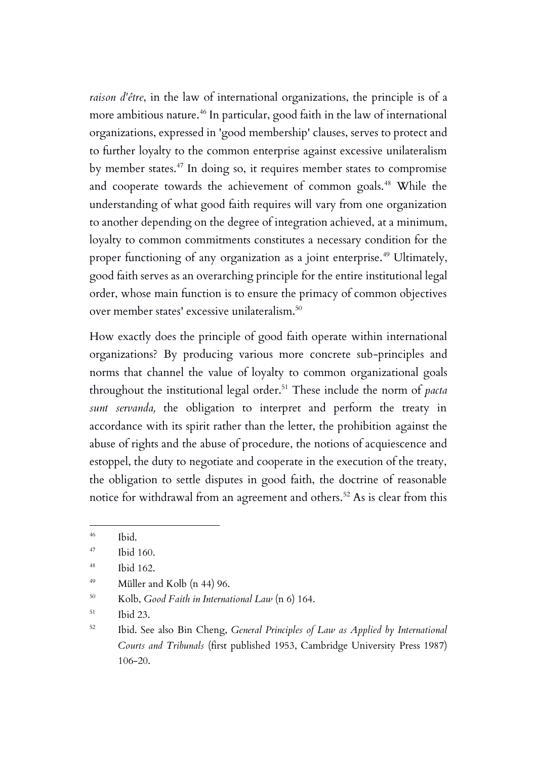*raison d'être*, in the law of international organizations, the principle is of a more ambitious nature.<sup>46</sup> In particular, good faith in the law of international organizations, expressed in 'good membership' clauses, serves to protect and to further loyalty to the common enterprise against excessive unilateralism by member states.<sup>47</sup> In doing so, it requires member states to compromise and cooperate towards the achievement of common goals.<sup>48</sup> While the understanding of what good faith requires will vary from one organization to another depending on the degree of integration achieved, at a minimum, loyalty to common commitments constitutes a necessary condition for the proper functioning of any organization as a joint enterprise.<sup>49</sup> Ultimately, good faith serves as an overarching principle for the entire institutional legal order, whose main function is to ensure the primacy of common objectives over member states' excessive unilateralism.<sup>50</sup>

How exactly does the principle of good faith operate within international organizations? By producing various more concrete sub-principles and norms that channel the value of loyalty to common organizational goals throughout the institutional legal order.<sup>51</sup> These include the norm of *pacta sunt servanda,* the obligation to interpret and perform the treaty in accordance with its spirit rather than the letter, the prohibition against the abuse of rights and the abuse of procedure, the notions of acquiescence and estoppel, the duty to negotiate and cooperate in the execution of the treaty, the obligation to settle disputes in good faith, the doctrine of reasonable notice for withdrawal from an agreement and others.<sup>52</sup> As is clear from this

- <sup>49</sup> Müller and Kolb (n 44) 96.
- <sup>50</sup> Kolb, *Good Faith in International Law* (n 6) 164.

<sup>46</sup> Ibid.

 $47$  Ibid 160.

 $48$  Ibid 162.

<sup>51</sup> Ibid 23.

<sup>52</sup> Ibid. See also Bin Cheng, *General Principles of Law as Applied by International Courts and Tribunals* (first published 1953, Cambridge University Press 1987) 106-20.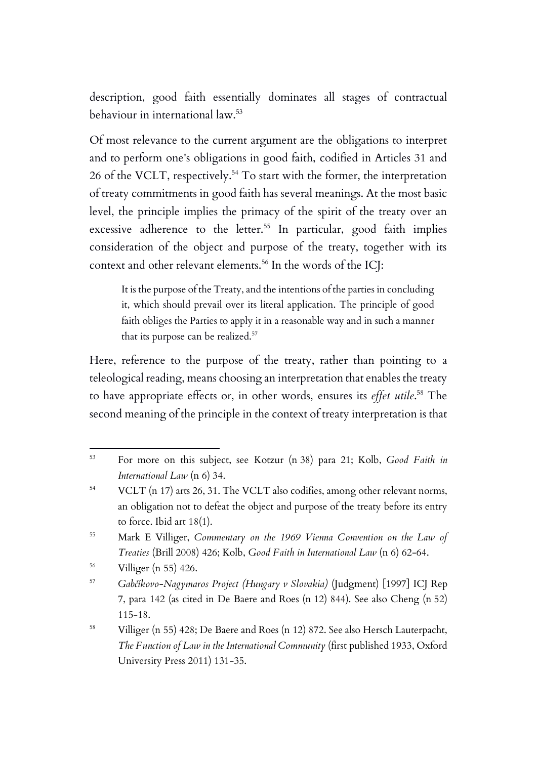description, good faith essentially dominates all stages of contractual behaviour in international law.<sup>53</sup>

Of most relevance to the current argument are the obligations to interpret and to perform one's obligations in good faith, codified in Articles 31 and 26 of the VCLT, respectively.<sup>54</sup> To start with the former, the interpretation of treaty commitments in good faith has several meanings. At the most basic level, the principle implies the primacy of the spirit of the treaty over an excessive adherence to the letter.<sup>55</sup> In particular, good faith implies consideration of the object and purpose of the treaty, together with its context and other relevant elements.<sup>56</sup> In the words of the ICJ:

It is the purpose of the Treaty, and the intentions of the parties in concluding it, which should prevail over its literal application. The principle of good faith obliges the Parties to apply it in a reasonable way and in such a manner that its purpose can be realized.<sup>57</sup>

Here, reference to the purpose of the treaty, rather than pointing to a teleological reading, means choosing an interpretation that enables the treaty to have appropriate effects or, in other words, ensures its *effet utile*. <sup>58</sup> The second meaning of the principle in the context of treaty interpretation is that

<sup>55</sup> Mark E Villiger, *Commentary on the 1969 Vienna Convention on the Law of Treaties* (Brill 2008) 426; Kolb, *Good Faith in International Law* (n 6) 62-64.

<sup>56</sup> Villiger (n 55) 426.

<sup>53</sup> For more on this subject, see Kotzur (n 38) para 21; Kolb, *Good Faith in International Law* (n 6) 34.

<sup>&</sup>lt;sup>54</sup> VCLT (n 17) arts 26, 31. The VCLT also codifies, among other relevant norms, an obligation not to defeat the object and purpose of the treaty before its entry to force. Ibid art 18(1).

<sup>57</sup> *Gabčíkovo-Nagymaros Project (Hungary v Slovakia)* (Judgment) [1997] ICJ Rep 7, para 142 (as cited in De Baere and Roes (n 12) 844). See also Cheng (n 52) 115-18.

<sup>58</sup> Villiger (n 55) 428; De Baere and Roes (n 12) 872. See also Hersch Lauterpacht, *The Function of Law in the International Community* (first published 1933, Oxford University Press 2011) 131-35.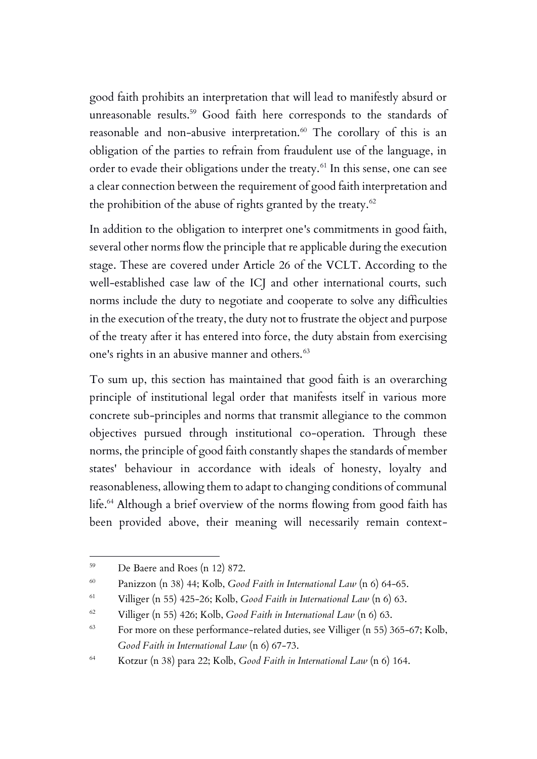good faith prohibits an interpretation that will lead to manifestly absurd or unreasonable results.<sup>59</sup> Good faith here corresponds to the standards of reasonable and non-abusive interpretation.<sup>60</sup> The corollary of this is an obligation of the parties to refrain from fraudulent use of the language, in order to evade their obligations under the treaty.<sup>61</sup> In this sense, one can see a clear connection between the requirement of good faith interpretation and the prohibition of the abuse of rights granted by the treaty.<sup>62</sup>

In addition to the obligation to interpret one's commitments in good faith, several other norms flow the principle that re applicable during the execution stage. These are covered under Article 26 of the VCLT. According to the well-established case law of the ICJ and other international courts, such norms include the duty to negotiate and cooperate to solve any difficulties in the execution of the treaty, the duty not to frustrate the object and purpose of the treaty after it has entered into force, the duty abstain from exercising one's rights in an abusive manner and others.<sup>63</sup>

To sum up, this section has maintained that good faith is an overarching principle of institutional legal order that manifests itself in various more concrete sub-principles and norms that transmit allegiance to the common objectives pursued through institutional co-operation. Through these norms, the principle of good faith constantly shapes the standards of member states' behaviour in accordance with ideals of honesty, loyalty and reasonableness, allowing them to adapt to changing conditions of communal life.<sup>64</sup> Although a brief overview of the norms flowing from good faith has been provided above, their meaning will necessarily remain context-

<sup>59</sup> De Baere and Roes (n 12) 872.

<sup>60</sup> Panizzon (n 38) 44; Kolb, *Good Faith in International Law* (n 6) 64-65.

<sup>61</sup> Villiger (n 55) 425-26; Kolb, *Good Faith in International Law* (n 6) 63.

<sup>62</sup> Villiger (n 55) 426; Kolb, *Good Faith in International Law* (n 6) 63.

 $63$  For more on these performance-related duties, see Villiger (n 55) 365-67; Kolb, *Good Faith in International Law* (n 6) 67-73.

<sup>64</sup> Kotzur (n 38) para 22; Kolb, *Good Faith in International Law* (n 6) 164.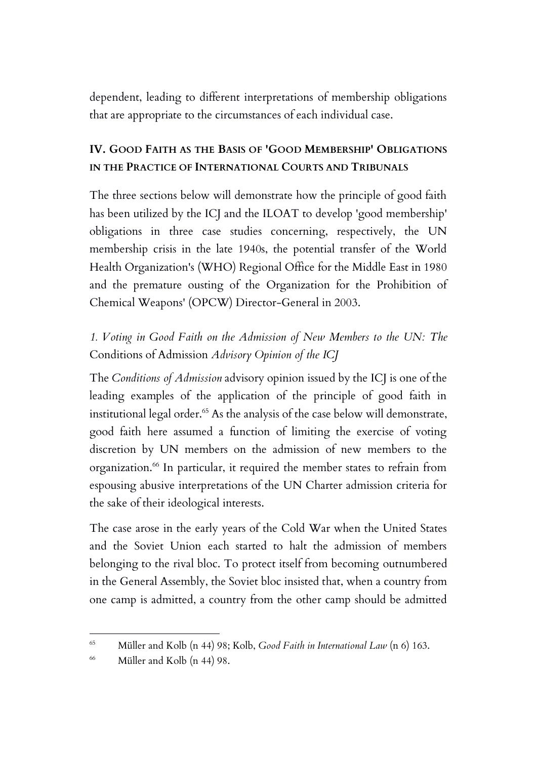dependent, leading to different interpretations of membership obligations that are appropriate to the circumstances of each individual case.

## **IV. GOOD FAITH AS THE BASIS OF 'GOOD MEMBERSHIP' OBLIGATIONS IN THE PRACTICE OF INTERNATIONAL COURTS AND TRIBUNALS**

The three sections below will demonstrate how the principle of good faith has been utilized by the ICJ and the ILOAT to develop 'good membership' obligations in three case studies concerning, respectively, the UN membership crisis in the late 1940s, the potential transfer of the World Health Organization's (WHO) Regional Office for the Middle East in 1980 and the premature ousting of the Organization for the Prohibition of Chemical Weapons' (OPCW) Director-General in 2003.

*1. Voting in Good Faith on the Admission of New Members to the UN: The*  Conditions of Admission *Advisory Opinion of the ICJ*

The *Conditions of Admission* advisory opinion issued by the ICJ is one of the leading examples of the application of the principle of good faith in institutional legal order.<sup>65</sup> As the analysis of the case below will demonstrate, good faith here assumed a function of limiting the exercise of voting discretion by UN members on the admission of new members to the organization.<sup>66</sup> In particular, it required the member states to refrain from espousing abusive interpretations of the UN Charter admission criteria for the sake of their ideological interests.

The case arose in the early years of the Cold War when the United States and the Soviet Union each started to halt the admission of members belonging to the rival bloc. To protect itself from becoming outnumbered in the General Assembly, the Soviet bloc insisted that, when a country from one camp is admitted, a country from the other camp should be admitted

<sup>65</sup> Müller and Kolb (n 44) 98; Kolb, *Good Faith in International Law* (n 6) 163.

<sup>66</sup> Müller and Kolb (n 44) 98.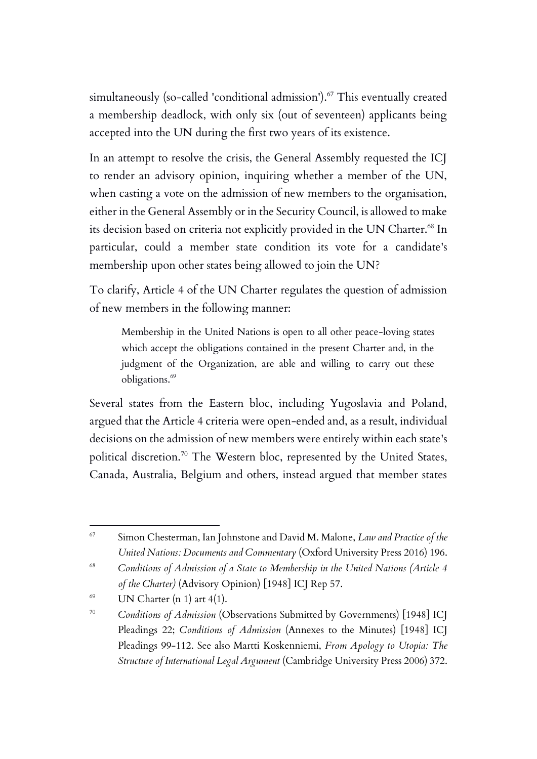simultaneously (so-called 'conditional admission').<sup>67</sup> This eventually created a membership deadlock, with only six (out of seventeen) applicants being accepted into the UN during the first two years of its existence.

In an attempt to resolve the crisis, the General Assembly requested the ICJ to render an advisory opinion, inquiring whether a member of the UN, when casting a vote on the admission of new members to the organisation, either in the General Assembly or in the Security Council, is allowed to make its decision based on criteria not explicitly provided in the UN Charter. <sup>68</sup> In particular, could a member state condition its vote for a candidate's membership upon other states being allowed to join the UN?

To clarify, Article 4 of the UN Charter regulates the question of admission of new members in the following manner:

Membership in the United Nations is open to all other peace-loving states which accept the obligations contained in the present Charter and, in the judgment of the Organization, are able and willing to carry out these obligations.<sup>69</sup>

Several states from the Eastern bloc, including Yugoslavia and Poland, argued that the Article 4 criteria were open-ended and, as a result, individual decisions on the admission of new members were entirely within each state's political discretion.<sup>70</sup> The Western bloc, represented by the United States, Canada, Australia, Belgium and others, instead argued that member states

<sup>67</sup> Simon Chesterman, Ian Johnstone and David M. Malone, *Law and Practice of the United Nations: Documents and Commentary* (Oxford University Press 2016) 196.

<sup>68</sup> *Conditions of Admission of a State to Membership in the United Nations (Article 4 of the Charter)* (Advisory Opinion) [1948] ICJ Rep 57.

 $^{69}$  UN Charter (n 1) art 4(1).

<sup>70</sup> *Conditions of Admission* (Observations Submitted by Governments) [1948] ICJ Pleadings 22; *Conditions of Admission* (Annexes to the Minutes) [1948] ICJ Pleadings 99-112. See also Martti Koskenniemi, *From Apology to Utopia: The Structure of International Legal Argument* (Cambridge University Press 2006) 372.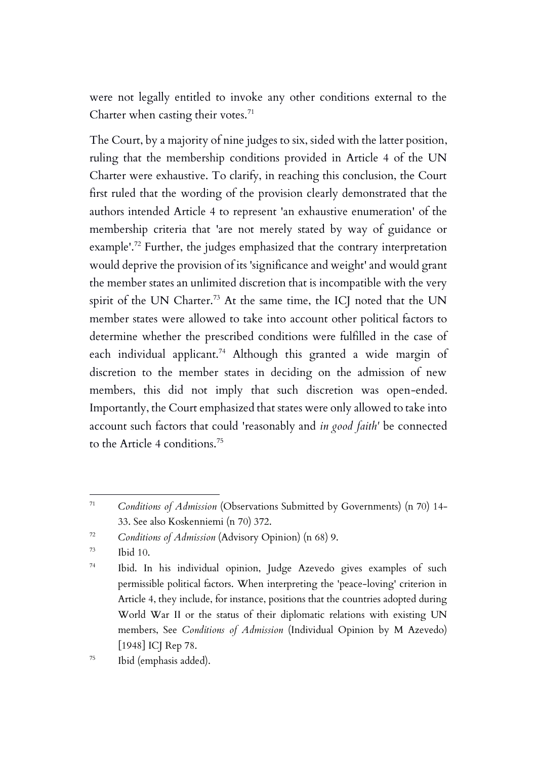were not legally entitled to invoke any other conditions external to the Charter when casting their votes.<sup>71</sup>

The Court, by a majority of nine judges to six, sided with the latter position, ruling that the membership conditions provided in Article 4 of the UN Charter were exhaustive. To clarify, in reaching this conclusion, the Court first ruled that the wording of the provision clearly demonstrated that the authors intended Article 4 to represent 'an exhaustive enumeration' of the membership criteria that 'are not merely stated by way of guidance or example'. <sup>72</sup> Further, the judges emphasized that the contrary interpretation would deprive the provision of its 'significance and weight' and would grant the member states an unlimited discretion that is incompatible with the very spirit of the UN Charter.<sup>73</sup> At the same time, the ICJ noted that the UN member states were allowed to take into account other political factors to determine whether the prescribed conditions were fulfilled in the case of each individual applicant.<sup>74</sup> Although this granted a wide margin of discretion to the member states in deciding on the admission of new members, this did not imply that such discretion was open-ended. Importantly, the Court emphasized that states were only allowed to take into account such factors that could 'reasonably and *in good faith'* be connected to the Article 4 conditions.<sup>75</sup>

<sup>71</sup> *Conditions of Admission* (Observations Submitted by Governments) (n 70) 14- 33. See also Koskenniemi (n 70) 372.

<sup>72</sup> *Conditions of Admission* (Advisory Opinion) (n 68) 9.

 $^{73}$  Ibid 10.

<sup>74</sup> Ibid. In his individual opinion, Judge Azevedo gives examples of such permissible political factors. When interpreting the 'peace-loving' criterion in Article 4, they include, for instance, positions that the countries adopted during World War II or the status of their diplomatic relations with existing UN members, See *Conditions of Admission* (Individual Opinion by M Azevedo) [1948] ICJ Rep 78.

<sup>75</sup> Ibid (emphasis added).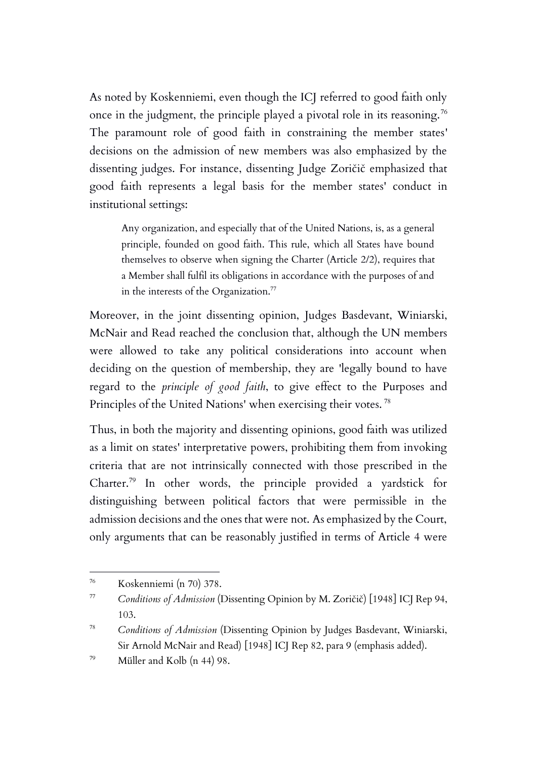As noted by Koskenniemi, even though the ICJ referred to good faith only once in the judgment, the principle played a pivotal role in its reasoning.<sup>76</sup> The paramount role of good faith in constraining the member states' decisions on the admission of new members was also emphasized by the dissenting judges. For instance, dissenting Judge Zoričič emphasized that good faith represents a legal basis for the member states' conduct in institutional settings:

Any organization, and especially that of the United Nations, is, as a general principle, founded on good faith. This rule, which all States have bound themselves to observe when signing the Charter (Article 2/2), requires that a Member shall fulfil its obligations in accordance with the purposes of and in the interests of the Organization.<sup>77</sup>

Moreover, in the joint dissenting opinion, Judges Basdevant, Winiarski, McNair and Read reached the conclusion that, although the UN members were allowed to take any political considerations into account when deciding on the question of membership, they are 'legally bound to have regard to the *principle of good faith*, to give effect to the Purposes and Principles of the United Nations' when exercising their votes. <sup>78</sup>

Thus, in both the majority and dissenting opinions, good faith was utilized as a limit on states' interpretative powers, prohibiting them from invoking criteria that are not intrinsically connected with those prescribed in the Charter.<sup>79</sup> In other words, the principle provided a yardstick for distinguishing between political factors that were permissible in the admission decisions and the ones that were not. As emphasized by the Court, only arguments that can be reasonably justified in terms of Article 4 were

<sup>76</sup> Koskenniemi (n 70) 378.

<sup>77</sup> *Conditions of Admission* (Dissenting Opinion by M. Zoričič) [1948] ICJ Rep 94, 103.

<sup>78</sup> *Conditions of Admission* (Dissenting Opinion by Judges Basdevant, Winiarski, Sir Arnold McNair and Read) [1948] ICJ Rep 82, para 9 (emphasis added).

<sup>79</sup> Müller and Kolb (n 44) 98.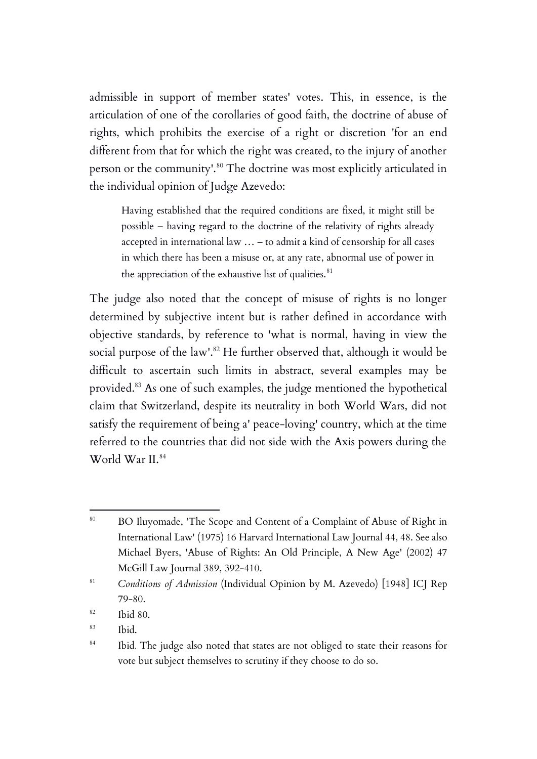admissible in support of member states' votes. This, in essence, is the articulation of one of the corollaries of good faith, the doctrine of abuse of rights, which prohibits the exercise of a right or discretion 'for an end different from that for which the right was created, to the injury of another person or the community'. <sup>80</sup> The doctrine was most explicitly articulated in the individual opinion of Judge Azevedo:

Having established that the required conditions are fixed, it might still be possible – having regard to the doctrine of the relativity of rights already accepted in international law … – to admit a kind of censorship for all cases in which there has been a misuse or, at any rate, abnormal use of power in the appreciation of the exhaustive list of qualities. $81$ 

The judge also noted that the concept of misuse of rights is no longer determined by subjective intent but is rather defined in accordance with objective standards, by reference to 'what is normal, having in view the social purpose of the law'. <sup>82</sup> He further observed that, although it would be difficult to ascertain such limits in abstract, several examples may be provided.<sup>83</sup> As one of such examples, the judge mentioned the hypothetical claim that Switzerland, despite its neutrality in both World Wars, did not satisfy the requirement of being a' peace-loving' country, which at the time referred to the countries that did not side with the Axis powers during the World War II. 84

<sup>80</sup> BO Iluyomade, 'The Scope and Content of a Complaint of Abuse of Right in International Law' (1975) 16 Harvard International Law Journal 44, 48. See also Michael Byers, 'Abuse of Rights: An Old Principle, A New Age' (2002) 47 McGill Law Journal 389, 392-410.

<sup>81</sup> *Conditions of Admission* (Individual Opinion by M. Azevedo) [1948] ICJ Rep 79-80.

<sup>82</sup> Ibid 80.

 $83$  Ibid.

<sup>84</sup> Ibid*.* The judge also noted that states are not obliged to state their reasons for vote but subject themselves to scrutiny if they choose to do so.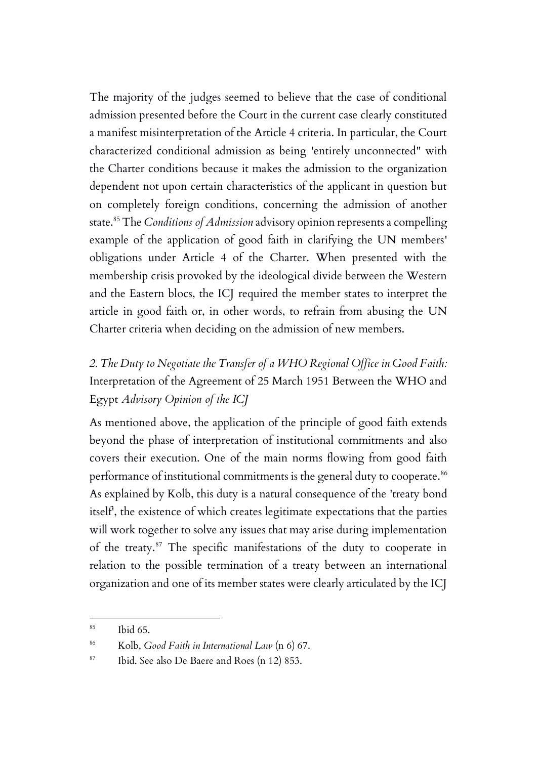The majority of the judges seemed to believe that the case of conditional admission presented before the Court in the current case clearly constituted a manifest misinterpretation of the Article 4 criteria. In particular, the Court characterized conditional admission as being 'entirely unconnected" with the Charter conditions because it makes the admission to the organization dependent not upon certain characteristics of the applicant in question but on completely foreign conditions, concerning the admission of another state.<sup>85</sup> The *Conditions of Admission* advisory opinion represents a compelling example of the application of good faith in clarifying the UN members' obligations under Article 4 of the Charter. When presented with the membership crisis provoked by the ideological divide between the Western and the Eastern blocs, the ICJ required the member states to interpret the article in good faith or, in other words, to refrain from abusing the UN Charter criteria when deciding on the admission of new members.

# *2. The Duty to Negotiate the Transfer of a WHO Regional Office in Good Faith:*  Interpretation of the Agreement of 25 March 1951 Between the WHO and Egypt *Advisory Opinion of the ICJ*

As mentioned above, the application of the principle of good faith extends beyond the phase of interpretation of institutional commitments and also covers their execution. One of the main norms flowing from good faith performance of institutional commitments is the general duty to cooperate.<sup>86</sup> As explained by Kolb, this duty is a natural consequence of the 'treaty bond itself', the existence of which creates legitimate expectations that the parties will work together to solve any issues that may arise during implementation of the treaty.<sup>87</sup> The specific manifestations of the duty to cooperate in relation to the possible termination of a treaty between an international organization and one of its member states were clearly articulated by the ICJ

 $^{85}$  Ibid 65.

<sup>86</sup> Kolb, *Good Faith in International Law* (n 6) 67.

<sup>87</sup> Ibid. See also De Baere and Roes (n 12) 853.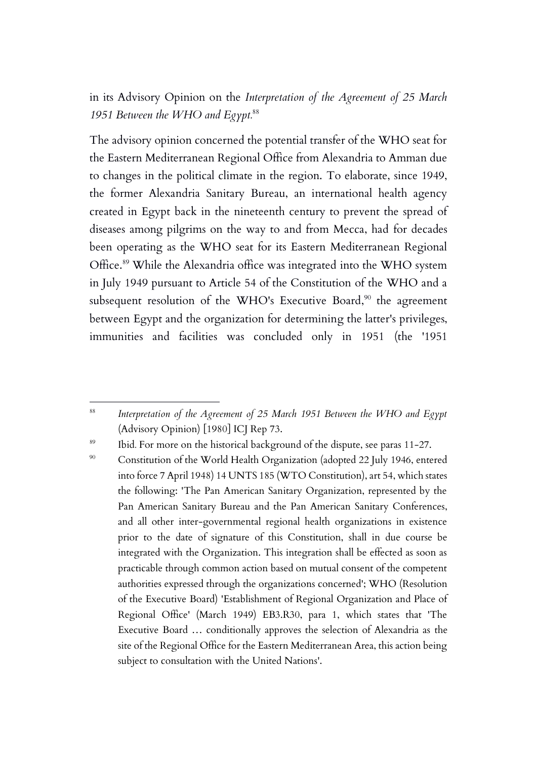in its Advisory Opinion on the *Interpretation of the Agreement of 25 March 1951 Between the WHO and Egypt.*<sup>88</sup>

The advisory opinion concerned the potential transfer of the WHO seat for the Eastern Mediterranean Regional Office from Alexandria to Amman due to changes in the political climate in the region. To elaborate, since 1949, the former Alexandria Sanitary Bureau, an international health agency created in Egypt back in the nineteenth century to prevent the spread of diseases among pilgrims on the way to and from Mecca, had for decades been operating as the WHO seat for its Eastern Mediterranean Regional Office.<sup>89</sup> While the Alexandria office was integrated into the WHO system in July 1949 pursuant to Article 54 of the Constitution of the WHO and a subsequent resolution of the WHO's Executive Board, <sup>90</sup> the agreement between Egypt and the organization for determining the latter's privileges, immunities and facilities was concluded only in 1951 (the '1951

<sup>88</sup> *Interpretation of the Agreement of 25 March 1951 Between the WHO and Egypt* (Advisory Opinion) [1980] ICJ Rep 73.

<sup>&</sup>lt;sup>89</sup> Ibid. For more on the historical background of the dispute, see paras 11-27.

<sup>&</sup>lt;sup>90</sup> Constitution of the World Health Organization (adopted 22 July 1946, entered into force 7 April 1948) 14 UNTS 185 (WTO Constitution), art 54, which states the following: 'The Pan American Sanitary Organization, represented by the Pan American Sanitary Bureau and the Pan American Sanitary Conferences, and all other inter-governmental regional health organizations in existence prior to the date of signature of this Constitution, shall in due course be integrated with the Organization. This integration shall be effected as soon as practicable through common action based on mutual consent of the competent authorities expressed through the organizations concerned'; WHO (Resolution of the Executive Board) 'Establishment of Regional Organization and Place of Regional Office' (March 1949) EB3.R30, para 1, which states that 'The Executive Board … conditionally approves the selection of Alexandria as the site of the Regional Office for the Eastern Mediterranean Area, this action being subject to consultation with the United Nations'.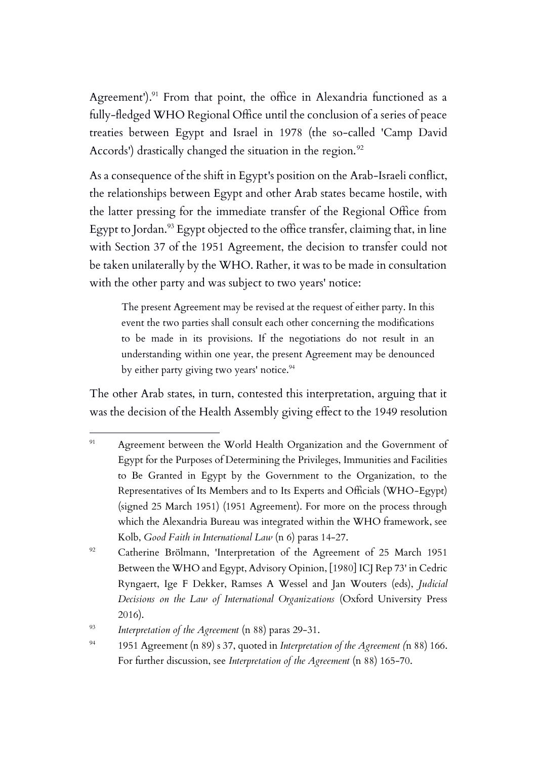Agreement'). <sup>91</sup> From that point, the office in Alexandria functioned as a fully-fledged WHO Regional Office until the conclusion of a series of peace treaties between Egypt and Israel in 1978 (the so-called 'Camp David Accords') drastically changed the situation in the region.<sup>92</sup>

As a consequence of the shift in Egypt's position on the Arab-Israeli conflict, the relationships between Egypt and other Arab states became hostile, with the latter pressing for the immediate transfer of the Regional Office from Egypt to Jordan.<sup>93</sup> Egypt objected to the office transfer, claiming that, in line with Section 37 of the 1951 Agreement, the decision to transfer could not be taken unilaterally by the WHO. Rather, it was to be made in consultation with the other party and was subject to two years' notice:

The present Agreement may be revised at the request of either party. In this event the two parties shall consult each other concerning the modifications to be made in its provisions. If the negotiations do not result in an understanding within one year, the present Agreement may be denounced by either party giving two years' notice.<sup>94</sup>

The other Arab states, in turn, contested this interpretation, arguing that it was the decision of the Health Assembly giving effect to the 1949 resolution

<sup>&</sup>lt;sup>91</sup> Agreement between the World Health Organization and the Government of Egypt for the Purposes of Determining the Privileges, Immunities and Facilities to Be Granted in Egypt by the Government to the Organization, to the Representatives of Its Members and to Its Experts and Officials (WHO-Egypt) (signed 25 March 1951) (1951 Agreement). For more on the process through which the Alexandria Bureau was integrated within the WHO framework, see Kolb, *Good Faith in International Law* (n 6) paras 14-27.

<sup>&</sup>lt;sup>92</sup> Catherine Brölmann, 'Interpretation of the Agreement of 25 March 1951 Between the WHO and Egypt, Advisory Opinion, [1980] ICJ Rep 73' in Cedric Ryngaert, Ige F Dekker, Ramses A Wessel and Jan Wouters (eds), *Judicial Decisions on the Law of International Organizations* (Oxford University Press 2016).

<sup>93</sup> *Interpretation of the Agreement* (n 88) paras 29-31.

<sup>94</sup> 1951 Agreement (n 89) s 37, quoted in *Interpretation of the Agreement (*n 88) 166. For further discussion, see *Interpretation of the Agreement* (n 88) 165-70.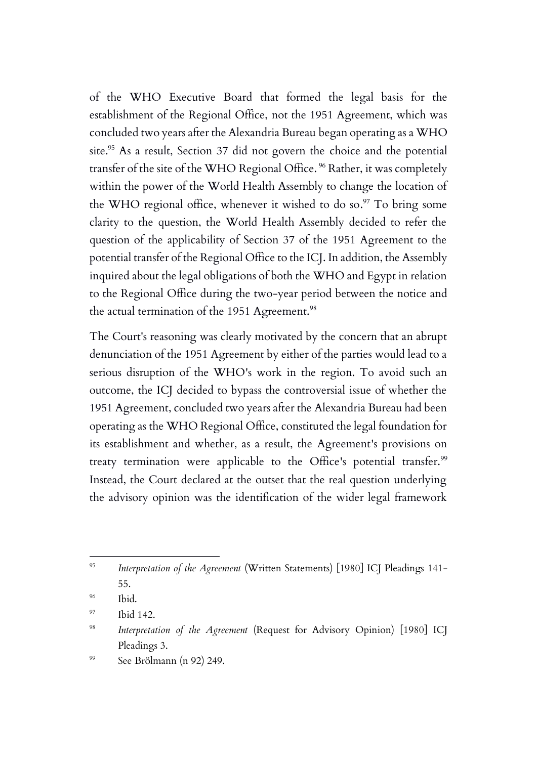of the WHO Executive Board that formed the legal basis for the establishment of the Regional Office, not the 1951 Agreement, which was concluded two years after the Alexandria Bureau began operating as a WHO site.<sup>95</sup> As a result, Section 37 did not govern the choice and the potential transfer of the site of the WHO Regional Office.<sup>96</sup> Rather, it was completely within the power of the World Health Assembly to change the location of the WHO regional office, whenever it wished to do so. $\frac{97}{7}$  To bring some clarity to the question, the World Health Assembly decided to refer the question of the applicability of Section 37 of the 1951 Agreement to the potential transfer of the Regional Office to the ICJ. In addition, the Assembly inquired about the legal obligations of both the WHO and Egypt in relation to the Regional Office during the two-year period between the notice and the actual termination of the 1951 Agreement.<sup>98</sup>

The Court's reasoning was clearly motivated by the concern that an abrupt denunciation of the 1951 Agreement by either of the parties would lead to a serious disruption of the WHO's work in the region. To avoid such an outcome, the ICJ decided to bypass the controversial issue of whether the 1951 Agreement, concluded two years after the Alexandria Bureau had been operating as the WHO Regional Office, constituted the legal foundation for its establishment and whether, as a result, the Agreement's provisions on treaty termination were applicable to the Office's potential transfer.<sup>99</sup> Instead, the Court declared at the outset that the real question underlying the advisory opinion was the identification of the wider legal framework

<sup>96</sup> Ibid.

<sup>97</sup> Ibid 142.

<sup>99</sup> See Brölmann (n 92) 249.

<sup>95</sup> *Interpretation of the Agreement* (Written Statements) [1980] ICJ Pleadings 141- 55.

<sup>98</sup> *Interpretation of the Agreement* (Request for Advisory Opinion) [1980] ICJ Pleadings 3.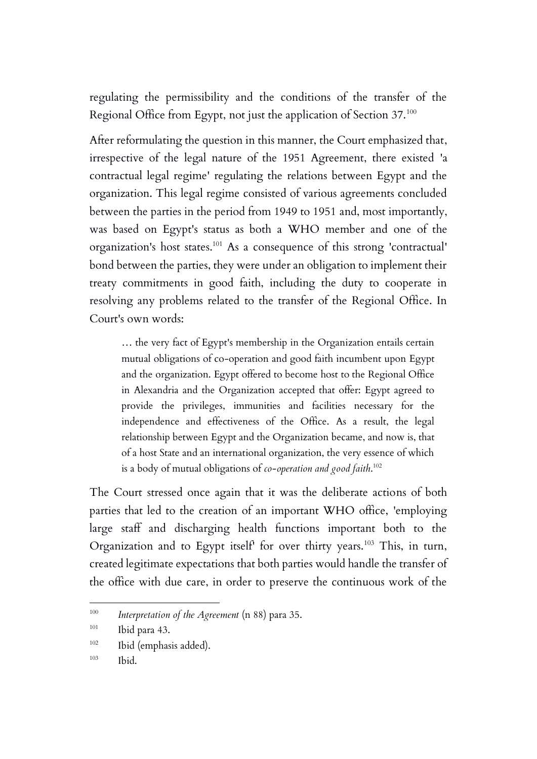regulating the permissibility and the conditions of the transfer of the Regional Office from Egypt, not just the application of Section 37.<sup>100</sup>

After reformulating the question in this manner, the Court emphasized that, irrespective of the legal nature of the 1951 Agreement, there existed 'a contractual legal regime' regulating the relations between Egypt and the organization. This legal regime consisted of various agreements concluded between the parties in the period from 1949 to 1951 and, most importantly, was based on Egypt's status as both a WHO member and one of the organization's host states. <sup>101</sup> As a consequence of this strong 'contractual' bond between the parties, they were under an obligation to implement their treaty commitments in good faith, including the duty to cooperate in resolving any problems related to the transfer of the Regional Office. In Court's own words:

… the very fact of Egypt's membership in the Organization entails certain mutual obligations of co-operation and good faith incumbent upon Egypt and the organization. Egypt offered to become host to the Regional Office in Alexandria and the Organization accepted that offer: Egypt agreed to provide the privileges, immunities and facilities necessary for the independence and effectiveness of the Office. As a result, the legal relationship between Egypt and the Organization became, and now is, that of a host State and an international organization, the very essence of which is a body of mutual obligations of *co-operation and good faith*. 102

The Court stressed once again that it was the deliberate actions of both parties that led to the creation of an important WHO office, 'employing large staff and discharging health functions important both to the Organization and to Egypt itself<sup>1</sup> for over thirty years.<sup>103</sup> This, in turn, created legitimate expectations that both parties would handle the transfer of the office with due care, in order to preserve the continuous work of the

<sup>100</sup> *Interpretation of the Agreement* (n 88) para 35.

 $101$  Ibid para 43.

<sup>102</sup> Ibid (emphasis added).

 $103$  Ibid.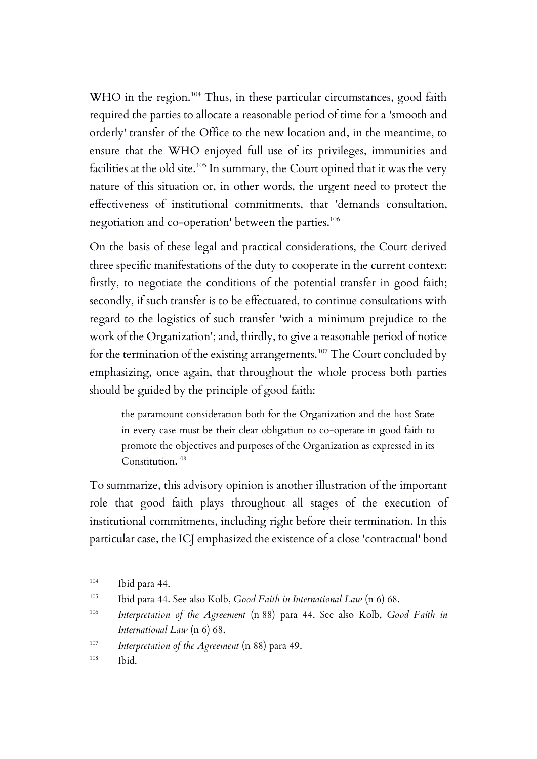WHO in the region.<sup>104</sup> Thus, in these particular circumstances, good faith required the parties to allocate a reasonable period of time for a 'smooth and orderly' transfer of the Office to the new location and, in the meantime, to ensure that the WHO enjoyed full use of its privileges, immunities and facilities at the old site.<sup>105</sup> In summary, the Court opined that it was the very nature of this situation or, in other words, the urgent need to protect the effectiveness of institutional commitments, that 'demands consultation, negotiation and co-operation' between the parties.<sup>106</sup>

On the basis of these legal and practical considerations, the Court derived three specific manifestations of the duty to cooperate in the current context: firstly, to negotiate the conditions of the potential transfer in good faith; secondly, if such transfer is to be effectuated, to continue consultations with regard to the logistics of such transfer 'with a minimum prejudice to the work of the Organization'; and, thirdly, to give a reasonable period of notice for the termination of the existing arrangements.<sup>107</sup> The Court concluded by emphasizing, once again, that throughout the whole process both parties should be guided by the principle of good faith:

the paramount consideration both for the Organization and the host State in every case must be their clear obligation to co-operate in good faith to promote the objectives and purposes of the Organization as expressed in its Constitution.<sup>108</sup>

To summarize, this advisory opinion is another illustration of the important role that good faith plays throughout all stages of the execution of institutional commitments, including right before their termination. In this particular case, the ICJ emphasized the existence of a close 'contractual' bond

 $104$  Ibid para 44.

<sup>105</sup> Ibid para 44. See also Kolb, *Good Faith in International Law* (n 6) 68.

<sup>106</sup> *Interpretation of the Agreement* (n 88) para 44. See also Kolb, *Good Faith in International Law* (n 6) 68.

<sup>107</sup> *Interpretation of the Agreement* (n 88) para 49.

 $108$  Ibid.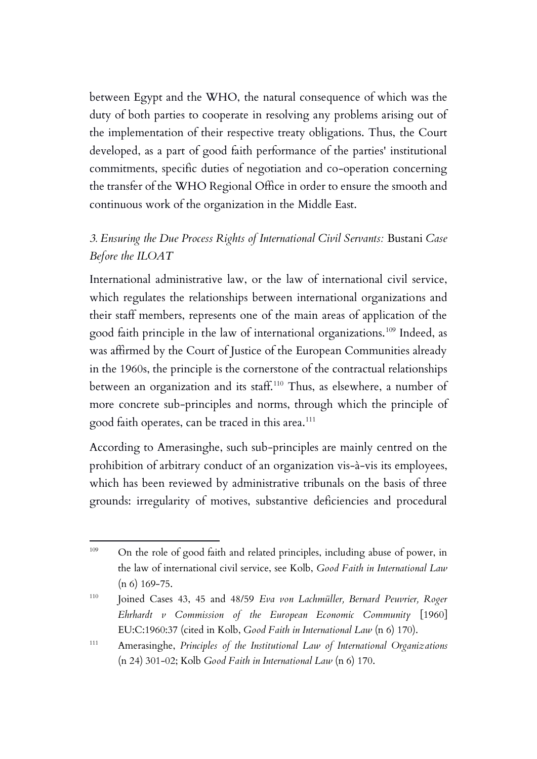between Egypt and the WHO, the natural consequence of which was the duty of both parties to cooperate in resolving any problems arising out of the implementation of their respective treaty obligations. Thus, the Court developed, as a part of good faith performance of the parties' institutional commitments, specific duties of negotiation and co-operation concerning the transfer of the WHO Regional Office in order to ensure the smooth and continuous work of the organization in the Middle East.

# *3. Ensuring the Due Process Rights of International Civil Servants:* Bustani *Case Before the ILOAT*

International administrative law, or the law of international civil service, which regulates the relationships between international organizations and their staff members, represents one of the main areas of application of the good faith principle in the law of international organizations.<sup>109</sup> Indeed, as was affirmed by the Court of Justice of the European Communities already in the 1960s, the principle is the cornerstone of the contractual relationships between an organization and its staff.<sup>110</sup> Thus, as elsewhere, a number of more concrete sub-principles and norms, through which the principle of good faith operates, can be traced in this area.<sup>111</sup>

According to Amerasinghe, such sub-principles are mainly centred on the prohibition of arbitrary conduct of an organization vis-à-vis its employees, which has been reviewed by administrative tribunals on the basis of three grounds: irregularity of motives, substantive deficiencies and procedural

<sup>&</sup>lt;sup>109</sup> On the role of good faith and related principles, including abuse of power, in the law of international civil service, see Kolb, *Good Faith in International Law*  $(n 6)$  169-75.

<sup>110</sup> Joined Cases 43, 45 and 48/59 *Eva von Lachmüller, Bernard Peuvrier, Roger Ehrhardt v Commission of the European Economic Community* [1960] EU:C:1960:37 (cited in Kolb, *Good Faith in International Law* (n 6) 170).

<sup>111</sup> Amerasinghe, *Principles of the Institutional Law of International Organizations*  (n 24) 301-02; Kolb *Good Faith in International Law* (n 6) 170.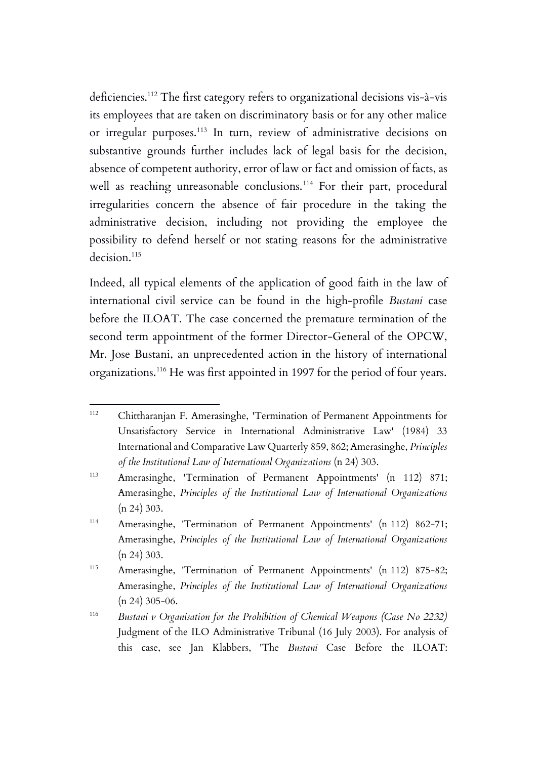deficiencies.<sup>112</sup> The first category refers to organizational decisions vis-à-vis its employees that are taken on discriminatory basis or for any other malice or irregular purposes.<sup>113</sup> In turn, review of administrative decisions on substantive grounds further includes lack of legal basis for the decision, absence of competent authority, error of law or fact and omission of facts, as well as reaching unreasonable conclusions.<sup>114</sup> For their part, procedural irregularities concern the absence of fair procedure in the taking the administrative decision, including not providing the employee the possibility to defend herself or not stating reasons for the administrative decision.<sup>115</sup>

Indeed, all typical elements of the application of good faith in the law of international civil service can be found in the high-profile *Bustani* case before the ILOAT. The case concerned the premature termination of the second term appointment of the former Director-General of the OPCW, Mr. Jose Bustani, an unprecedented action in the history of international organizations. <sup>116</sup> He was first appointed in 1997 for the period of four years.

<sup>112</sup> Chittharanjan F. Amerasinghe, 'Termination of Permanent Appointments for Unsatisfactory Service in International Administrative Law' (1984) 33 International and Comparative Law Quarterly 859, 862; Amerasinghe, *Principles of the Institutional Law of International Organizations* (n 24) 303.

<sup>113</sup> Amerasinghe, 'Termination of Permanent Appointments' (n 112) 871; Amerasinghe, *Principles of the Institutional Law of International Organizations*  (n 24) 303.

<sup>114</sup> Amerasinghe, 'Termination of Permanent Appointments' (n 112) 862-71; Amerasinghe, *Principles of the Institutional Law of International Organizations*  (n 24) 303.

<sup>115</sup> Amerasinghe, 'Termination of Permanent Appointments' (n 112) 875-82; Amerasinghe, *Principles of the Institutional Law of International Organizations*   $(n 24)$  305-06.

<sup>116</sup> *Bustani v Organisation for the Prohibition of Chemical Weapons (Case No 2232)* Judgment of the ILO Administrative Tribunal (16 July 2003). For analysis of this case, see Jan Klabbers, 'The *Bustani* Case Before the ILOAT: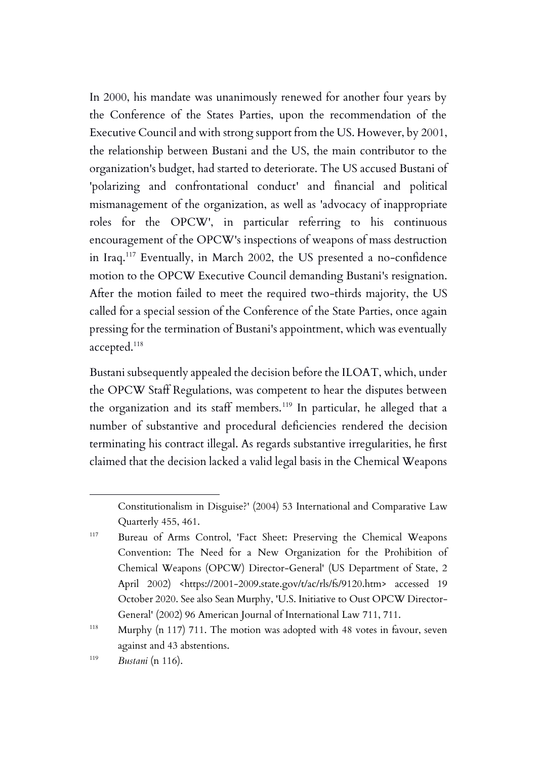In 2000, his mandate was unanimously renewed for another four years by the Conference of the States Parties, upon the recommendation of the Executive Council and with strong support from the US. However, by 2001, the relationship between Bustani and the US, the main contributor to the organization's budget, had started to deteriorate. The US accused Bustani of 'polarizing and confrontational conduct' and financial and political mismanagement of the organization, as well as 'advocacy of inappropriate roles for the OPCW', in particular referring to his continuous encouragement of the OPCW's inspections of weapons of mass destruction in Iraq.<sup>117</sup> Eventually, in March 2002, the US presented a no-confidence motion to the OPCW Executive Council demanding Bustani's resignation. After the motion failed to meet the required two-thirds majority, the US called for a special session of the Conference of the State Parties, once again pressing for the termination of Bustani's appointment, which was eventually accepted.<sup>118</sup>

Bustani subsequently appealed the decision before the ILOAT, which, under the OPCW Staff Regulations, was competent to hear the disputes between the organization and its staff members.<sup>119</sup> In particular, he alleged that a number of substantive and procedural deficiencies rendered the decision terminating his contract illegal. As regards substantive irregularities, he first claimed that the decision lacked a valid legal basis in the Chemical Weapons

Constitutionalism in Disguise?' (2004) 53 International and Comparative Law Quarterly 455, 461.

<sup>117</sup> Bureau of Arms Control, 'Fact Sheet: Preserving the Chemical Weapons Convention: The Need for a New Organization for the Prohibition of Chemical Weapons (OPCW) Director-General' (US Department of State, 2 April 2002) <https://2001-2009.state.gov/t/ac/rls/fs/9120.htm> accessed 19 October 2020. See also Sean Murphy, 'U.S. Initiative to Oust OPCW Director-General' (2002) 96 American Journal of International Law 711, 711.

<sup>118</sup> Murphy (n 117) 711. The motion was adopted with 48 votes in favour, seven against and 43 abstentions.

<sup>119</sup> *Bustani* (n 116).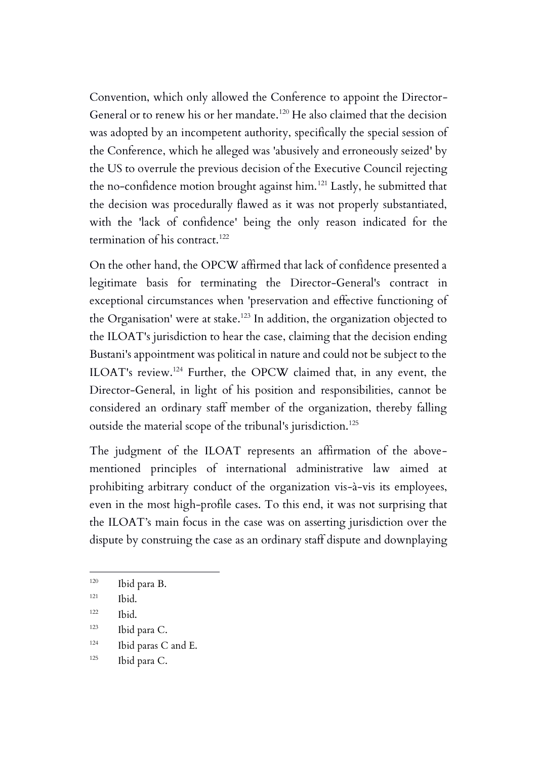Convention, which only allowed the Conference to appoint the Director-General or to renew his or her mandate.<sup>120</sup> He also claimed that the decision was adopted by an incompetent authority, specifically the special session of the Conference, which he alleged was 'abusively and erroneously seized' by the US to overrule the previous decision of the Executive Council rejecting the no-confidence motion brought against him.<sup>121</sup> Lastly, he submitted that the decision was procedurally flawed as it was not properly substantiated, with the 'lack of confidence' being the only reason indicated for the termination of his contract.<sup>122</sup>

On the other hand, the OPCW affirmed that lack of confidence presented a legitimate basis for terminating the Director-General's contract in exceptional circumstances when 'preservation and effective functioning of the Organisation' were at stake.<sup>123</sup> In addition, the organization objected to the ILOAT's jurisdiction to hear the case, claiming that the decision ending Bustani's appointment was political in nature and could not be subject to the ILOAT's review.<sup>124</sup> Further, the OPCW claimed that, in any event, the Director-General, in light of his position and responsibilities, cannot be considered an ordinary staff member of the organization, thereby falling outside the material scope of the tribunal's jurisdiction.<sup>125</sup>

The judgment of the ILOAT represents an affirmation of the abovementioned principles of international administrative law aimed at prohibiting arbitrary conduct of the organization vis-à-vis its employees, even in the most high-profile cases. To this end, it was not surprising that the ILOAT's main focus in the case was on asserting jurisdiction over the dispute by construing the case as an ordinary staff dispute and downplaying

 $124$  Ibid paras C and E.

<sup>120</sup> Ibid para B.

 $121$  Ibid.

 $122$  Ibid.

<sup>123</sup> Ibid para C.

<sup>&</sup>lt;sup>125</sup> Ibid para C.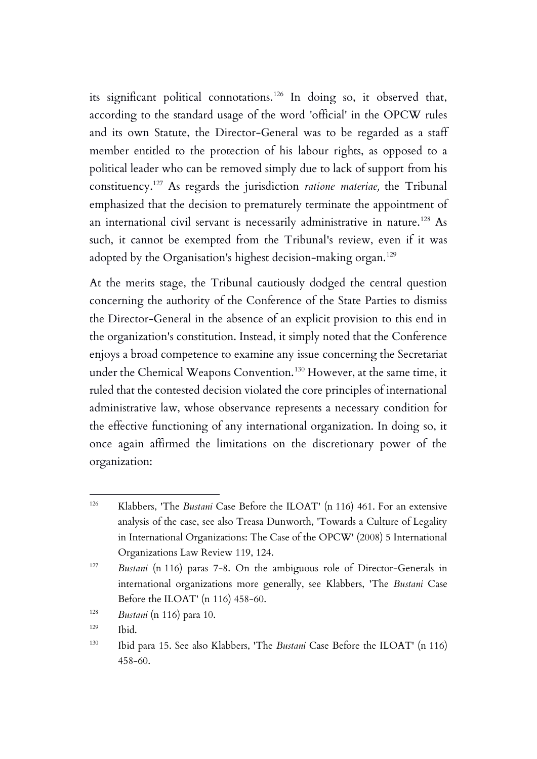its significant political connotations.<sup>126</sup> In doing so, it observed that, according to the standard usage of the word 'official' in the OPCW rules and its own Statute, the Director-General was to be regarded as a staff member entitled to the protection of his labour rights, as opposed to a political leader who can be removed simply due to lack of support from his constituency. <sup>127</sup> As regards the jurisdiction *ratione materiae,* the Tribunal emphasized that the decision to prematurely terminate the appointment of an international civil servant is necessarily administrative in nature.<sup>128</sup> As such, it cannot be exempted from the Tribunal's review, even if it was adopted by the Organisation's highest decision-making organ.<sup>129</sup>

At the merits stage, the Tribunal cautiously dodged the central question concerning the authority of the Conference of the State Parties to dismiss the Director-General in the absence of an explicit provision to this end in the organization's constitution. Instead, it simply noted that the Conference enjoys a broad competence to examine any issue concerning the Secretariat under the Chemical Weapons Convention.<sup>130</sup> However, at the same time, it ruled that the contested decision violated the core principles of international administrative law, whose observance represents a necessary condition for the effective functioning of any international organization. In doing so, it once again affirmed the limitations on the discretionary power of the organization:

<sup>126</sup> Klabbers, 'The *Bustani* Case Before the ILOAT' (n 116) 461. For an extensive analysis of the case, see also Treasa Dunworth, 'Towards a Culture of Legality in International Organizations: The Case of the OPCW' (2008) 5 International Organizations Law Review 119, 124.

<sup>&</sup>lt;sup>127</sup> *Bustani* (n 116) paras 7-8. On the ambiguous role of Director-Generals in international organizations more generally, see Klabbers, 'The *Bustani* Case Before the ILOAT' (n 116) 458-60.

<sup>128</sup> *Bustani* (n 116) para 10.

 $129$  Ibid.

<sup>130</sup> Ibid para 15. See also Klabbers, 'The *Bustani* Case Before the ILOAT' (n 116) 458-60.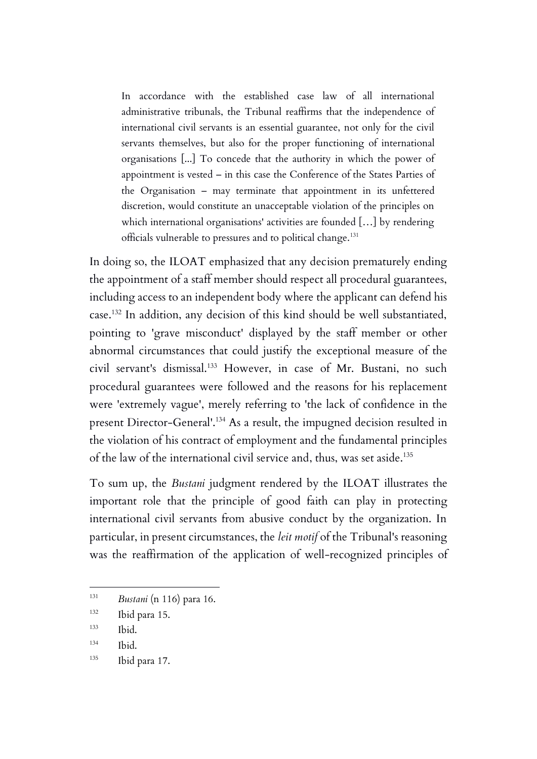In accordance with the established case law of all international administrative tribunals, the Tribunal reaffirms that the independence of international civil servants is an essential guarantee, not only for the civil servants themselves, but also for the proper functioning of international organisations [...] To concede that the authority in which the power of appointment is vested – in this case the Conference of the States Parties of the Organisation – may terminate that appointment in its unfettered discretion, would constitute an unacceptable violation of the principles on which international organisations' activities are founded […] by rendering officials vulnerable to pressures and to political change.<sup>131</sup>

In doing so, the ILOAT emphasized that any decision prematurely ending the appointment of a staff member should respect all procedural guarantees, including access to an independent body where the applicant can defend his case.<sup>132</sup> In addition, any decision of this kind should be well substantiated, pointing to 'grave misconduct' displayed by the staff member or other abnormal circumstances that could justify the exceptional measure of the civil servant's dismissal.<sup>133</sup> However, in case of Mr. Bustani, no such procedural guarantees were followed and the reasons for his replacement were 'extremely vague', merely referring to 'the lack of confidence in the present Director-General'. <sup>134</sup> As a result, the impugned decision resulted in the violation of his contract of employment and the fundamental principles of the law of the international civil service and, thus, was set aside.<sup>135</sup>

To sum up, the *Bustani* judgment rendered by the ILOAT illustrates the important role that the principle of good faith can play in protecting international civil servants from abusive conduct by the organization. In particular, in present circumstances, the *leit motif* of the Tribunal's reasoning was the reaffirmation of the application of well-recognized principles of

<sup>131</sup> *Bustani* (n 116) para 16.

<sup>132</sup> Ibid para 15.

<sup>133</sup> Ibid.

<sup>134</sup> Ibid.

 $135$  Ibid para 17.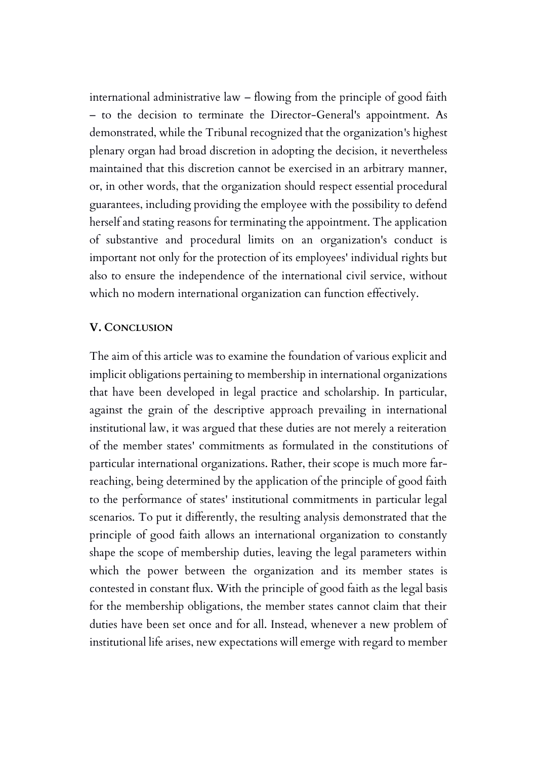international administrative law – flowing from the principle of good faith – to the decision to terminate the Director-General's appointment. As demonstrated, while the Tribunal recognized that the organization's highest plenary organ had broad discretion in adopting the decision, it nevertheless maintained that this discretion cannot be exercised in an arbitrary manner, or, in other words, that the organization should respect essential procedural guarantees, including providing the employee with the possibility to defend herself and stating reasons for terminating the appointment. The application of substantive and procedural limits on an organization's conduct is important not only for the protection of its employees' individual rights but also to ensure the independence of the international civil service, without which no modern international organization can function effectively.

#### **V. CONCLUSION**

The aim of this article was to examine the foundation of various explicit and implicit obligations pertaining to membership in international organizations that have been developed in legal practice and scholarship. In particular, against the grain of the descriptive approach prevailing in international institutional law, it was argued that these duties are not merely a reiteration of the member states' commitments as formulated in the constitutions of particular international organizations. Rather, their scope is much more farreaching, being determined by the application of the principle of good faith to the performance of states' institutional commitments in particular legal scenarios. To put it differently, the resulting analysis demonstrated that the principle of good faith allows an international organization to constantly shape the scope of membership duties, leaving the legal parameters within which the power between the organization and its member states is contested in constant flux. With the principle of good faith as the legal basis for the membership obligations, the member states cannot claim that their duties have been set once and for all. Instead, whenever a new problem of institutional life arises, new expectations will emerge with regard to member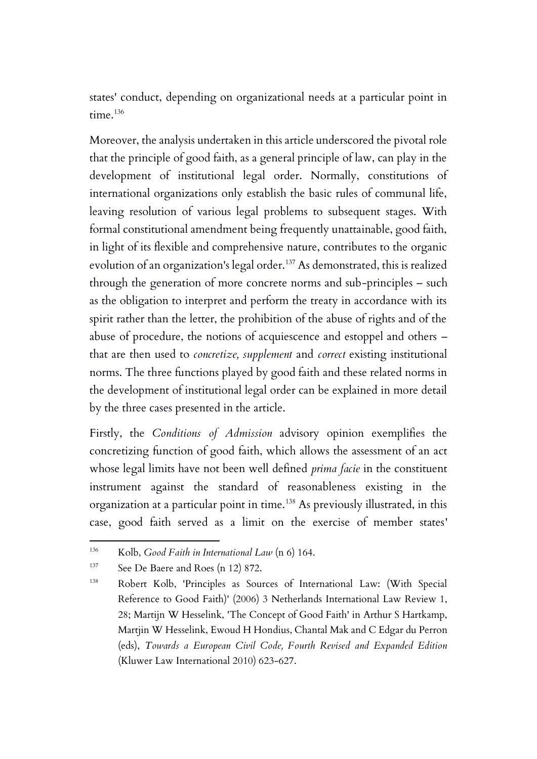states' conduct, depending on organizational needs at a particular point in time.<sup>136</sup>

Moreover, the analysis undertaken in this article underscored the pivotal role that the principle of good faith, as a general principle of law, can play in the development of institutional legal order. Normally, constitutions of international organizations only establish the basic rules of communal life, leaving resolution of various legal problems to subsequent stages. With formal constitutional amendment being frequently unattainable, good faith, in light of its flexible and comprehensive nature, contributes to the organic evolution of an organization's legal order.<sup>137</sup> As demonstrated, this is realized through the generation of more concrete norms and sub-principles – such as the obligation to interpret and perform the treaty in accordance with its spirit rather than the letter, the prohibition of the abuse of rights and of the abuse of procedure, the notions of acquiescence and estoppel and others – that are then used to *concretize, supplement* and *correct* existing institutional norms. The three functions played by good faith and these related norms in the development of institutional legal order can be explained in more detail by the three cases presented in the article.

Firstly, the *Conditions of Admission* advisory opinion exemplifies the concretizing function of good faith, which allows the assessment of an act whose legal limits have not been well defined *prima facie* in the constituent instrument against the standard of reasonableness existing in the organization at a particular point in time.<sup>138</sup> As previously illustrated, in this case, good faith served as a limit on the exercise of member states'

<sup>136</sup> Kolb, *Good Faith in International Law* (n 6) 164.

<sup>137</sup> See De Baere and Roes (n 12) 872.

<sup>138</sup> Robert Kolb, 'Principles as Sources of International Law: (With Special Reference to Good Faith)' (2006) 3 Netherlands International Law Review 1, 28; Martijn W Hesselink, 'The Concept of Good Faith' in Arthur S Hartkamp, Martjin W Hesselink, Ewoud H Hondius, Chantal Mak and C Edgar du Perron (eds), *Towards a European Civil Code, Fourth Revised and Expanded Edition* (Kluwer Law International 2010) 623-627.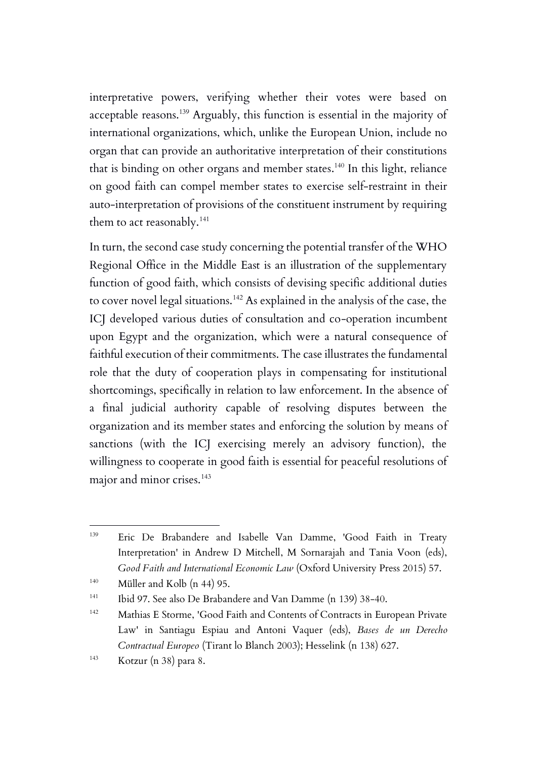interpretative powers, verifying whether their votes were based on acceptable reasons.<sup>139</sup> Arguably, this function is essential in the majority of international organizations, which, unlike the European Union, include no organ that can provide an authoritative interpretation of their constitutions that is binding on other organs and member states.<sup>140</sup> In this light, reliance on good faith can compel member states to exercise self-restraint in their auto-interpretation of provisions of the constituent instrument by requiring them to act reasonably. $141$ 

In turn, the second case study concerning the potential transfer of the WHO Regional Office in the Middle East is an illustration of the supplementary function of good faith, which consists of devising specific additional duties to cover novel legal situations.<sup>142</sup> As explained in the analysis of the case, the ICJ developed various duties of consultation and co-operation incumbent upon Egypt and the organization, which were a natural consequence of faithful execution of their commitments. The case illustrates the fundamental role that the duty of cooperation plays in compensating for institutional shortcomings, specifically in relation to law enforcement. In the absence of a final judicial authority capable of resolving disputes between the organization and its member states and enforcing the solution by means of sanctions (with the ICJ exercising merely an advisory function), the willingness to cooperate in good faith is essential for peaceful resolutions of major and minor crises.<sup>143</sup>

<sup>&</sup>lt;sup>139</sup> Eric De Brabandere and Isabelle Van Damme, 'Good Faith in Treaty Interpretation' in Andrew D Mitchell, M Sornarajah and Tania Voon (eds), *Good Faith and International Economic Law* (Oxford University Press 2015) 57.

<sup>140</sup> Müller and Kolb (n 44) 95.

<sup>141</sup> Ibid 97. See also De Brabandere and Van Damme (n 139) 38-40.

<sup>142</sup> Mathias E Storme, 'Good Faith and Contents of Contracts in European Private Law' in Santiagu Espiau and Antoni Vaquer (eds), *Bases de un Derecho Contractual Europeo* (Tirant lo Blanch 2003); Hesselink (n 138) 627.

 $^{143}$  Kotzur (n 38) para 8.